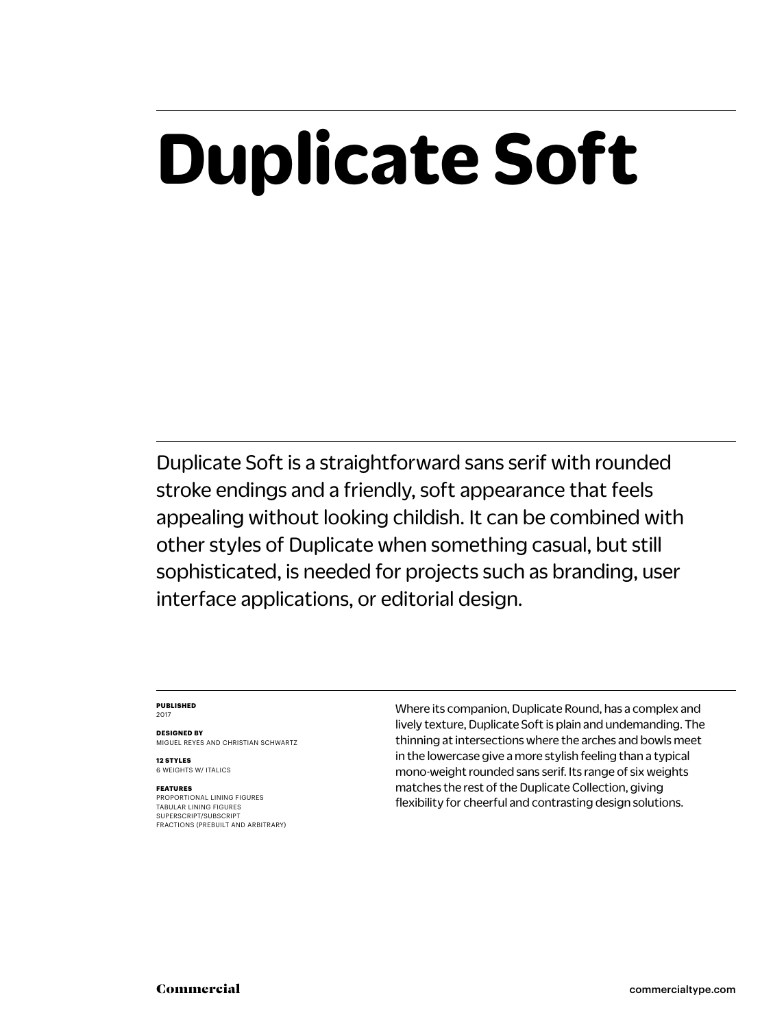## **Duplicate Soft**

Duplicate Soft is a straightforward sans serif with rounded stroke endings and a friendly, soft appearance that feels appealing without looking childish. It can be combined with other styles of Duplicate when something casual, but still sophisticated, is needed for projects such as branding, user interface applications, or editorial design.

### **PUBLISHED** 2017

**DESIGNED BY** MIGUEL REYES AND CHRISTIAN SCHWARTZ

**12 STYLES** 6 WEIGHTS W/ ITALICS

### **FEATURES**

PROPORTIONAL LINING FIGURES TABULAR LINING FIGURES SUPERSCRIPT/SUBSCRIPT FRACTIONS (PREBUILT AND ARBITRARY) Where its companion, Duplicate Round, has a complex and lively texture, Duplicate Soft is plain and undemanding. The thinning at intersections where the arches and bowls meet in the lowercase give a more stylish feeling than a typical mono-weight rounded sans serif. Its range of six weights matches the rest of the Duplicate Collection, giving flexibility for cheerful and contrasting design solutions.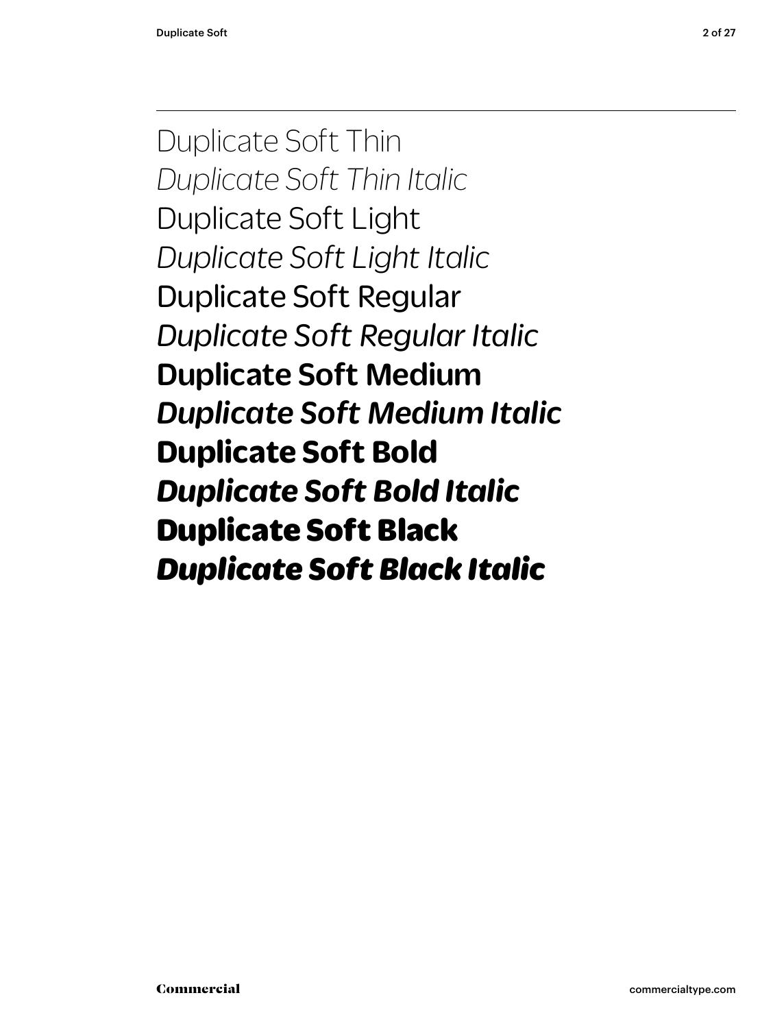Duplicate Soft Thin *Duplicate Soft Thin Italic* Duplicate Soft Light *Duplicate Soft Light Italic* Duplicate Soft Regular *Duplicate Soft Regular Italic* Duplicate Soft Medium *Duplicate Soft Medium Italic* **Duplicate Soft Bold** *Duplicate Soft Bold Italic* Duplicate Soft Black *Duplicate Soft Black Italic*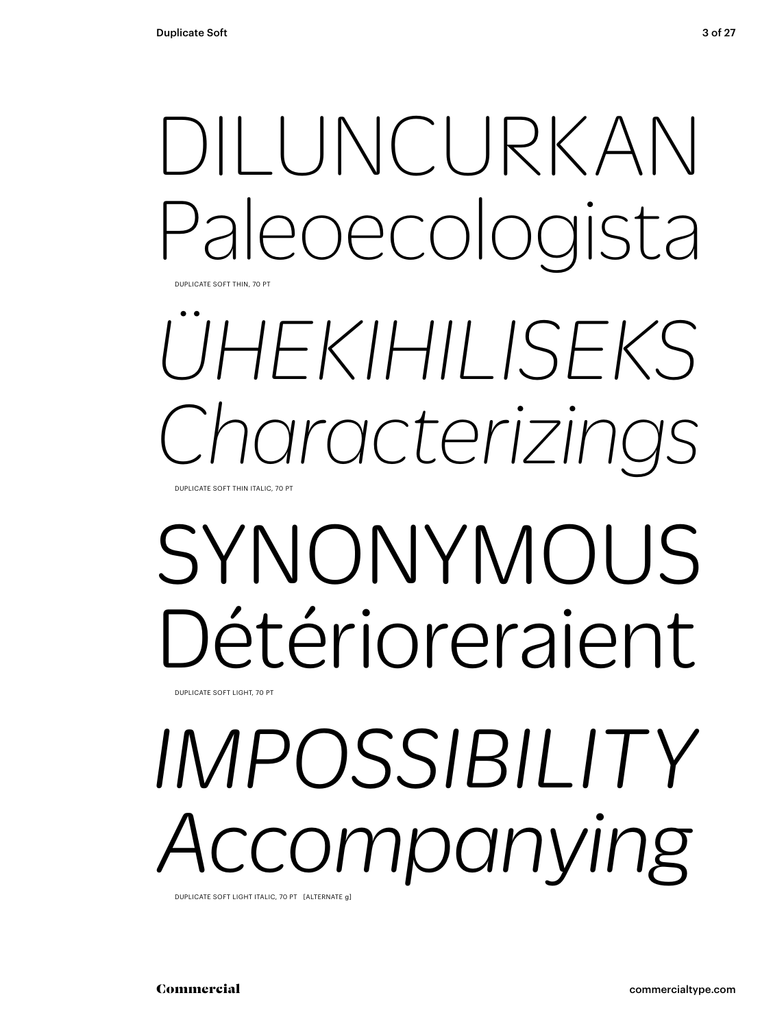# DILUNCURKAN Paleoecologista

DUPLICATE SOFT THIN, 70 PT

## *ÜHEKIHILISEKS Characterizings* DUPLICATE SOFT THIN ITALIC, 70 PT

## SYNONYMOUS Détérioreraient

DUPLICATE SOFT LIGHT, 70 PT

# *IMPOSSIBILITY* ccompanying

DUPLICATE SOFT LIGHT ITALIC, 70 PT [ALTERNATE g]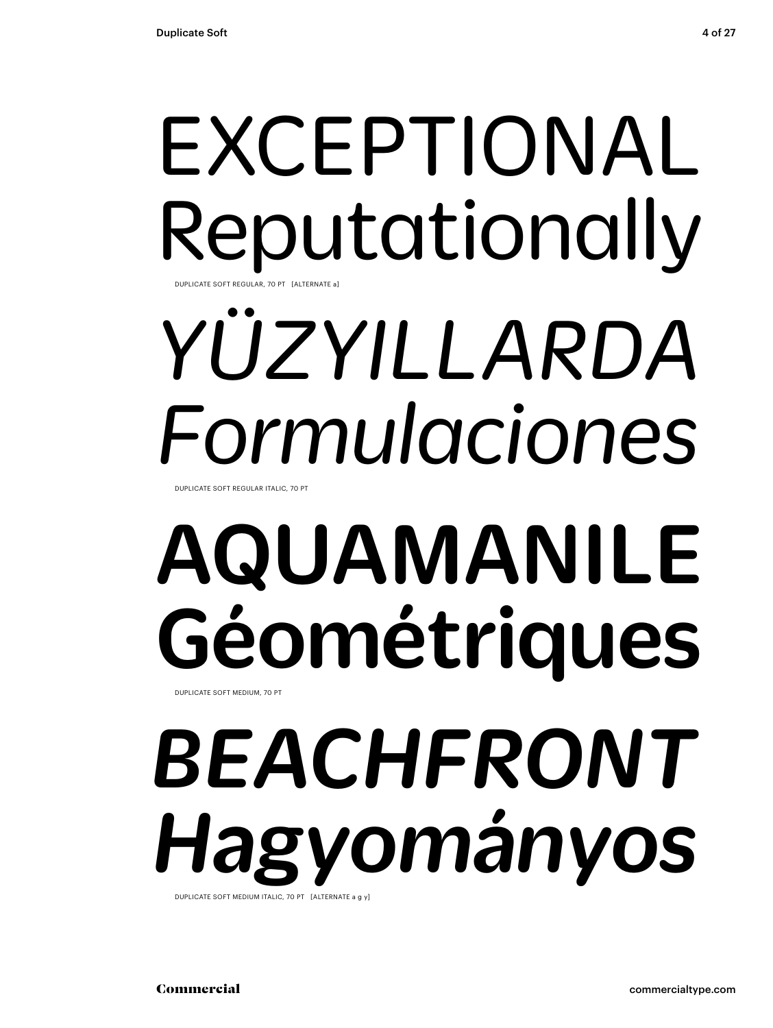## EXCEPTIONAL Reputationally DUPLICATE SOFT REGULAR, 70 PT [ALTERNATE a]

# *YÜZYILLARDA Formulaciones*

DUPLICATE SOFT REGULAR ITALIC, 70 PT

# AQUAMANILE Géométriques

DUPLICATE SOFT MEDIUM, 70 PT

### *BEACHFRONT Hagyományos* DUPLICATE SOFT MEDIUM ITALIC, 70 PT [ALTERNATE a g y]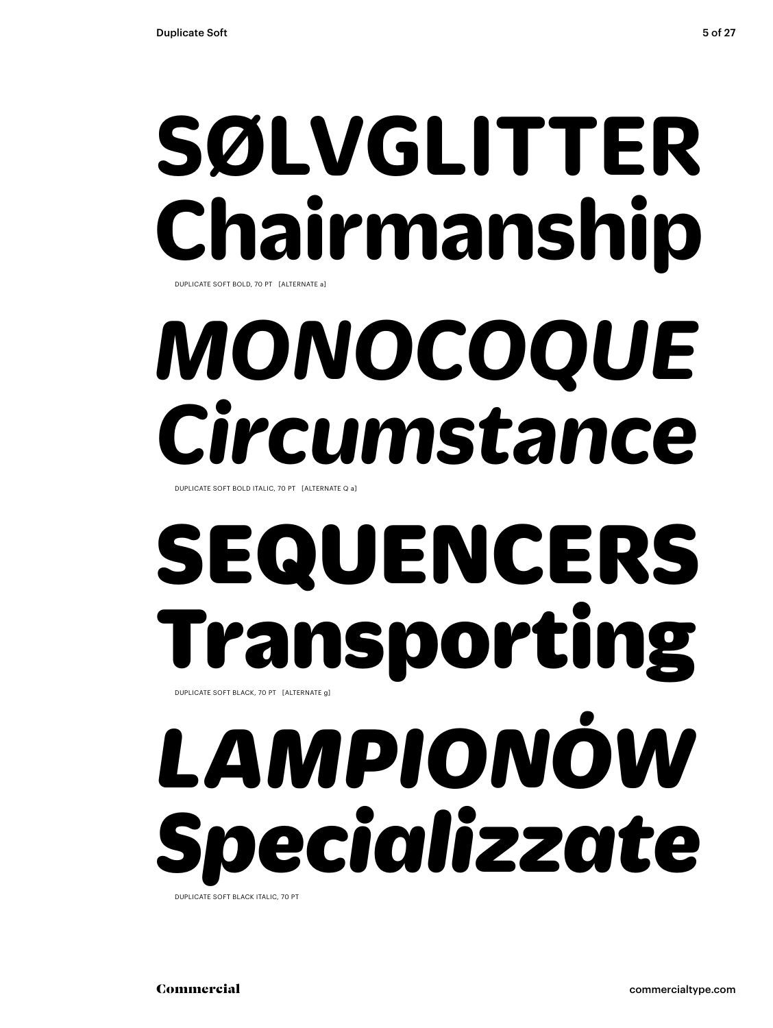## **SØLVGLITTER Chairmanship** DUPLICATE SOFT BOLD, 70 PT [ALTERNATE a]

# *MONOCOQUE Circumstance*

DUPLICATE SOFT BOLD ITALIC, 70 PT [ALTERNATE Q a]

## SEQUENCERS Transporting DUPLICATE SOFT BLACK, 70 PT [ALTERNATE g]

# *LAMPIONÓW Specializzate*

DUPLICATE SOFT BLACK ITALIC, 70 PT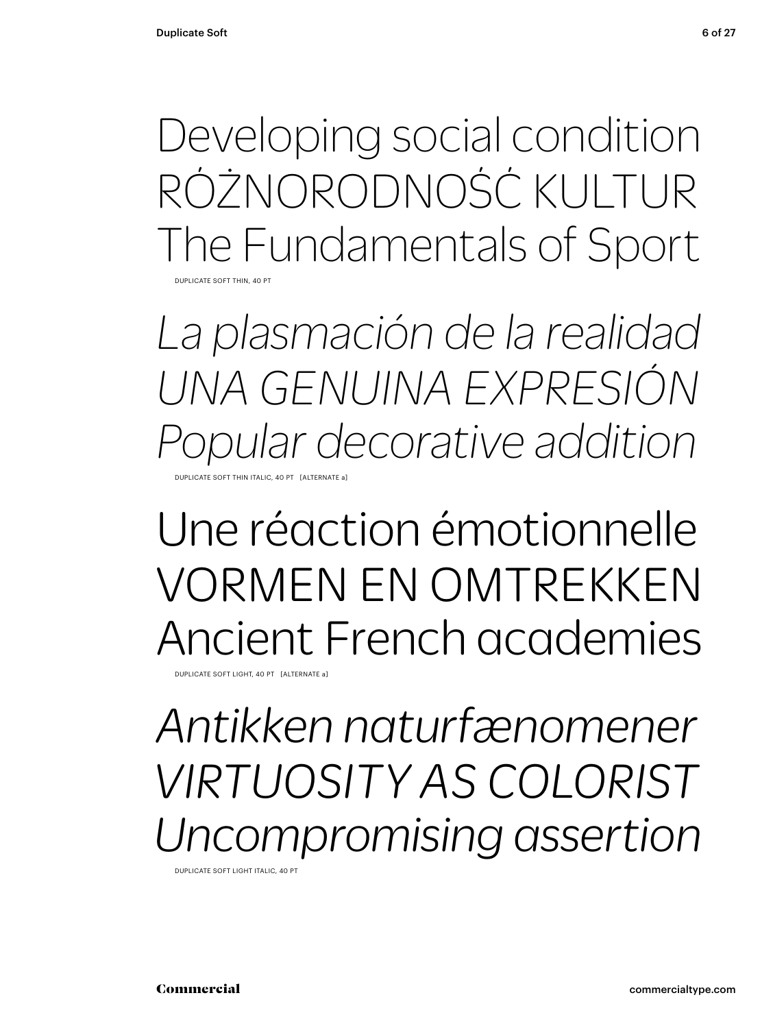Developing social condition RÓŻNORODNOŚĆ KULTUR The Fundamentals of Sport DUPLICATE SOFT THIN, 40 PT

*La plasmación de la realidad UNA GENUINA EXPRESIÓN Popular decorative addition* DUPLICATE SOFT THIN ITALIC, 40 PT [ALTERNATE a]

### Une réaction émotionnelle VORMEN EN OMTREKKEN Ancient French academies

DUPLICATE SOFT LIGHT, 40 PT [ALTERNATE a]

*Antikken naturfænomener VIRTUOSITY AS COLORIST Uncompromising assertion*

DUPLICATE SOFT LIGHT ITALIC, 40 PT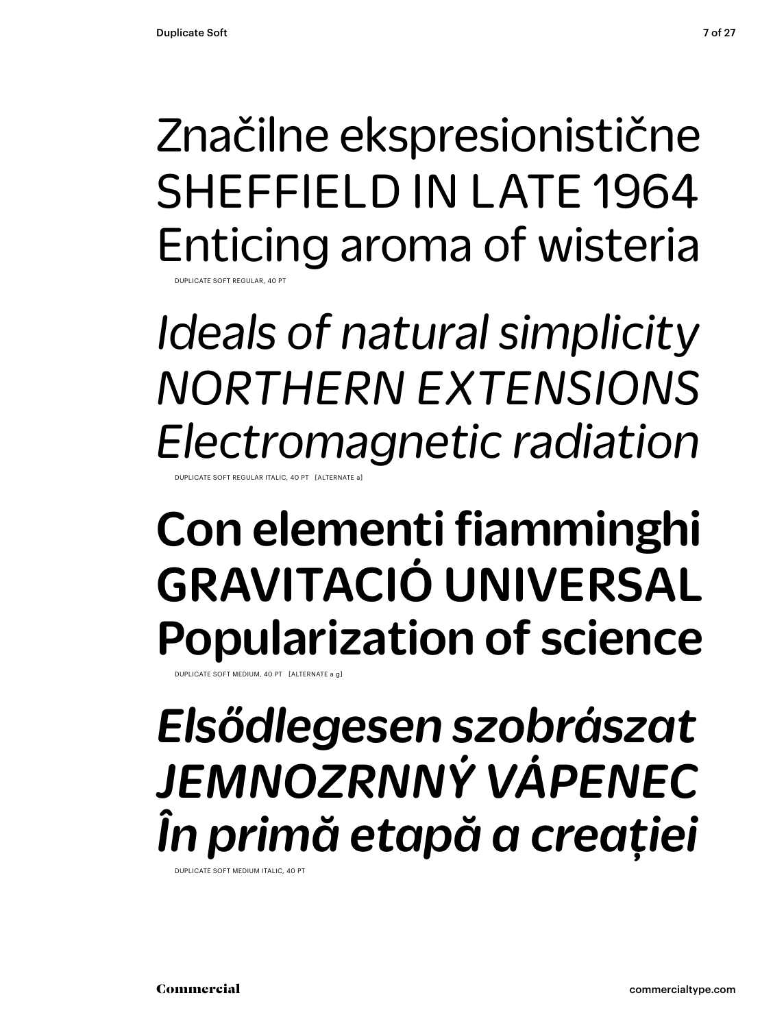### Značilne ekspresionistične SHEFFIELD IN LATE 1964 Enticing aroma of wisteria DUPLICATE SOFT REGULAR, 40 PT

*Ideals of natural simplicity NORTHERN EXTENSIONS Electromagnetic radiation*

DUPLICATE SOFT REGULAR ITALIC, 40 PT [ALTERNATE a]

### Con elementi fiamminghi GRAVITACIÓ UNIVERSAL Popularization of science

DUPLICATE SOFT MEDIUM, 40 PT [ALTERNATE a g]

### *Elsődlegesen szobrászat JEMNOZRNNÝ VÁPENEC În primă etapă a creației*

DUPLICATE SOFT MEDIUM ITALIC, 40 PT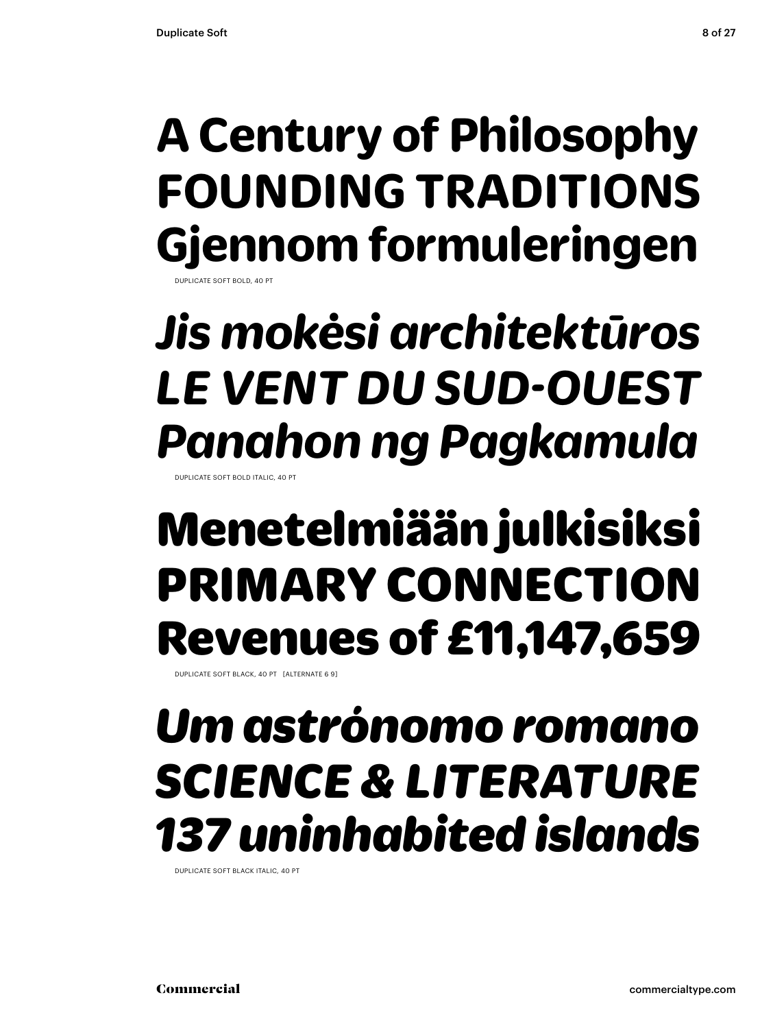### **A Century of Philosophy FOUNDING TRADITIONS Gjennom formuleringen** DUPLICATE SOFT BOLD, 40 PT

*Jis mokėsi architektūros LE VENT DU SUD-OUEST Panahon ng Pagkamula*

DUPLICATE SOFT BOLD ITALL

### Menetelmiään julkisiksi PRIMARY CONNECTION Revenues of £11,147,659

DUPLICATE SOFT BLACK, 40 PT [ALTERNATE 6 9]

### *Um astrónomo romano SCIENCE & LITERATURE 137 uninhabited islands*

DUPLICATE SOFT BLACK ITALIC, 40 PT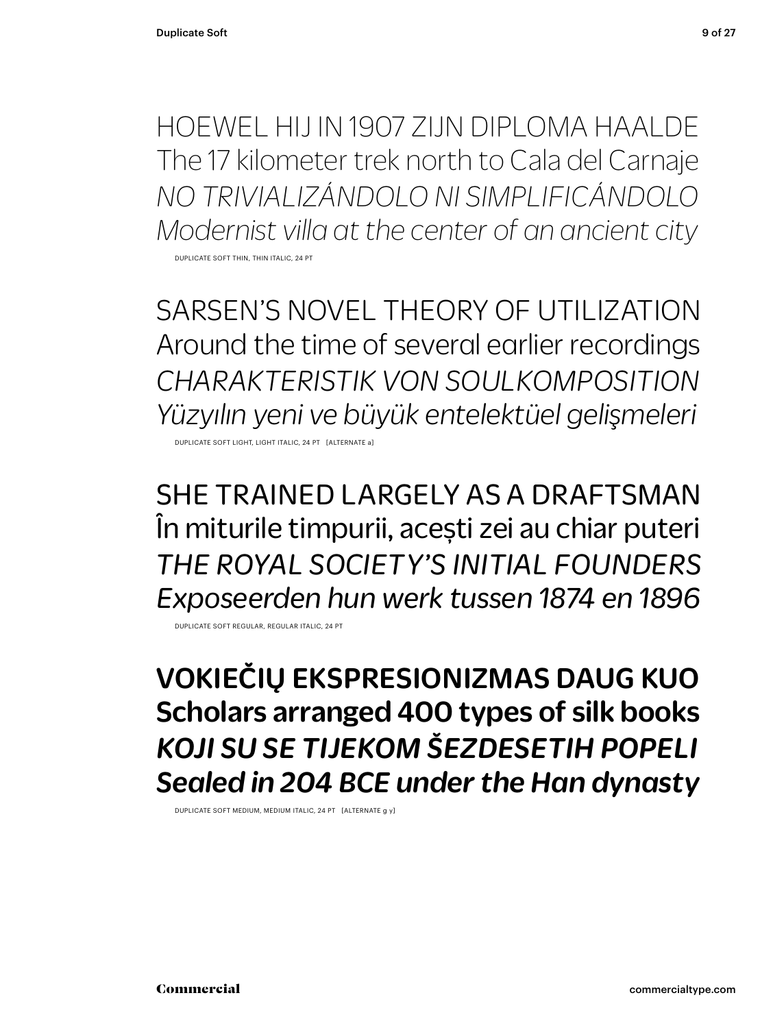HOEWEL HIJ IN 1907 ZIJN DIPLOMA HAALDE The 17 kilometer trek north to Cala del Carnaje *NO TRIVIALIZÁNDOLO NI SIMPLIFICÁNDOLO Modernist villa at the center of an ancient city* DUPLICATE SOFT THIN, THIN ITALIC, 24 PT

SARSEN'S NOVEL THEORY OF UTILIZATION Around the time of several earlier recordings *CHARAKTERISTIK VON SOULKOMPOSITION Yüzyılın yeni ve büyük entelektüel gelişmeleri*

DUPLICATE SOFT LIGHT, LIGHT ITALIC, 24 PT [ALTERNATE a]

SHE TRAINED LARGELY AS A DRAFTSMAN În miturile timpurii, acești zei au chiar puteri *THE ROYAL SOCIETY'S INITIAL FOUNDERS Exposeerden hun werk tussen 1874 en 1896*

DUPLICATE SOFT REGULAR, REGULAR ITALIC, 24 PT

VOKIEČIŲ EKSPRESIONIZMAS DAUG KUO Scholars arranged 400 types of silk books *KOJI SU SE TIJEKOM ŠEZDESETIH POPELI Sealed in 204 BCE under the Han dynasty*

DUPLICATE SOFT MEDIUM, MEDIUM ITALIC, 24 PT [ALTERNATE g y]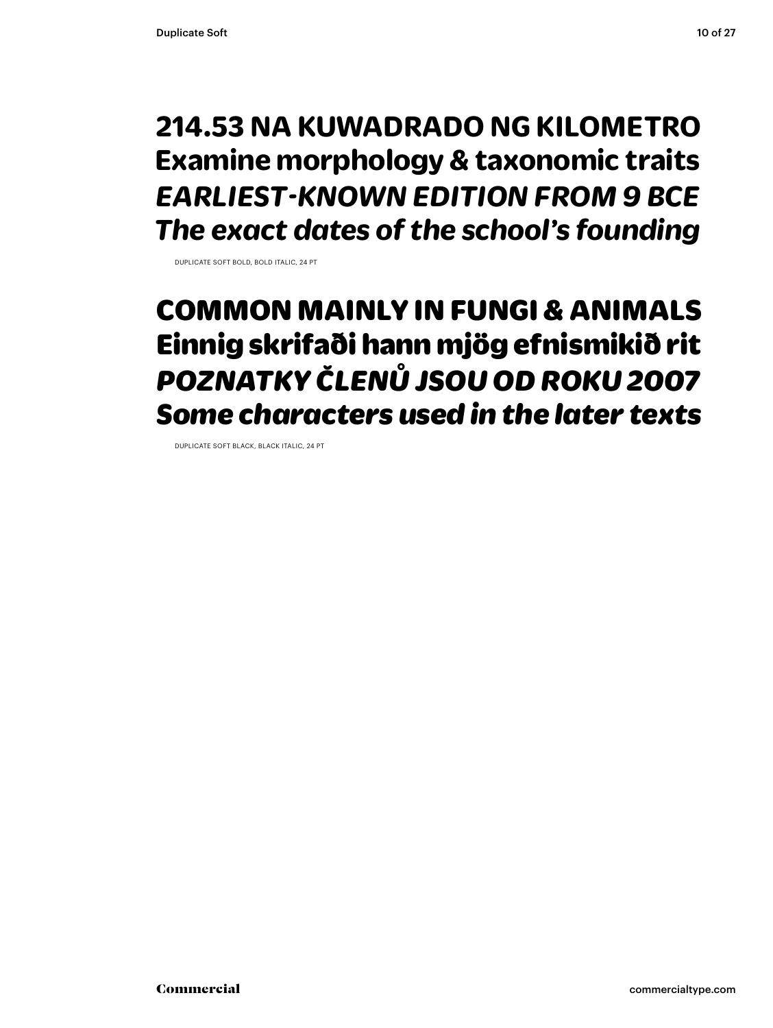### **214.53 NA KUWADRADO NG KILOMETRO Examine morphology & taxonomic traits** *EARLIEST-KNOWN EDITION FROM 9 BCE The exact dates of the school's founding*

DUPLICATE SOFT BOLD, BOLD ITALIC, 24 PT

### COMMON MAINLY IN FUNGI & ANIMALS Einnig skrifaði hann mjög efnismikið rit *POZNATKY ČLENŮ JSOU OD ROKU 2007 Some characters used in the later texts*

DUPLICATE SOFT BLACK, BLACK ITALIC, 24 PT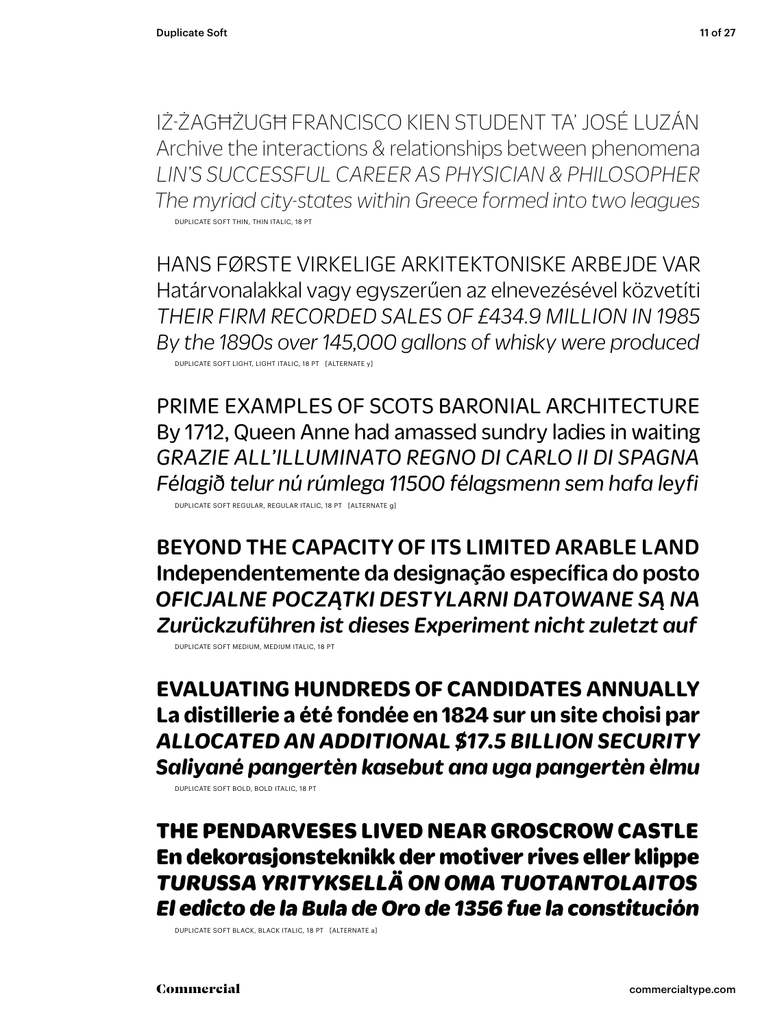IŻ-ŻAGĦŻUGĦ FRANCISCO KIEN STUDENT TA' JOSÉ LUZÁN Archive the interactions & relationships between phenomena *LIN'S SUCCESSFUL CAREER AS PHYSICIAN & PHILOSOPHER The myriad city-states within Greece formed into two leagues* DUPLICATE SOFT THIN, THIN ITALIC, 18 PT

HANS FØRSTE VIRKELIGE ARKITEKTONISKE ARBEJDE VAR Határvonalakkal vagy egyszerűen az elnevezésével közvetíti *THEIR FIRM RECORDED SALES OF £434.9 MILLION IN 1985 By the 1890s over 145,000 gallons of whisky were produced* DUPLICATE SOFT LIGHT, LIGHT ITALIC, 18 PT [ALTERNATE y]

PRIME EXAMPLES OF SCOTS BARONIAL ARCHITECTURE By 1712, Queen Anne had amassed sundry ladies in waiting *GRAZIE ALL'ILLUMINATO REGNO DI CARLO II DI SPAGNA Félagið telur nú rúmlega 11500 félagsmenn sem hafa leyfi* DUPLICATE SOFT REGULAR, REGULAR ITALIC, 18 PT [ALTERNATE g]

BEYOND THE CAPACITY OF ITS LIMITED ARABLE LAND Independentemente da designação específica do posto *OFICJALNE POCZĄTKI DESTYLARNI DATOWANE SĄ NA Zurückzuführen ist dieses Experiment nicht zuletzt auf*

DUPLICATE SOFT MEDIUM, MEDIUM ITALIC, 18 PT

**EVALUATING HUNDREDS OF CANDIDATES ANNUALLY La distillerie a été fondée en 1824 sur un site choisi par** *ALLOCATED AN ADDITIONAL \$17.5 BILLION SECURITY Saliyané pangertèn kasebut ana uga pangertèn èlmu*

DUPLICATE SOFT BOLD, BOLD ITALIC, 18 PT

THE PENDARVESES LIVED NEAR GROSCROW CASTLE En dekorasjonsteknikk der motiver rives eller klippe *TURUSSA YRITYKSELLÄ ON OMA TUOTANTOLAITOS El edicto de la Bula de Oro de 1356 fue la constitución* 

DUPLICATE SOFT BLACK, BLACK ITALIC, 18 PT [ALTERNATE a]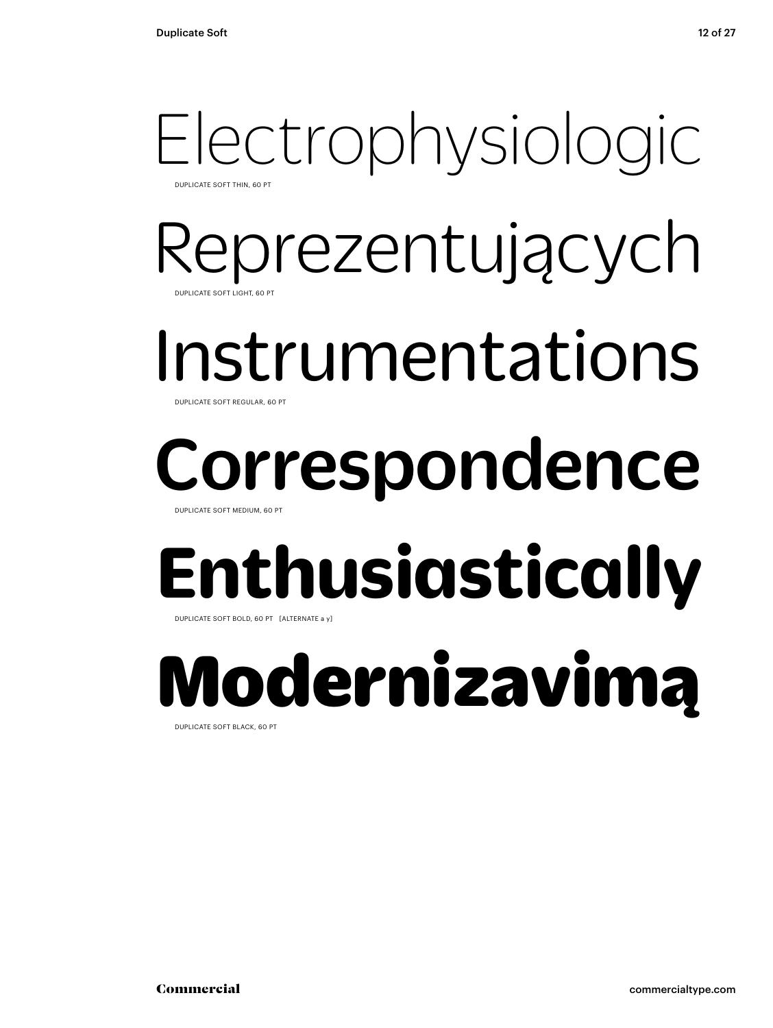### Electrophysiologic DUPLICATE SOFT THIN, 60 PT

Reprezentujących DUPLICATE SOFT LIGHT, 60 PT

Instrumentations DUPLICATE SOFT REGULAR, 6

## Correspondence

DUPLICATE SOFT MEDIUM, 60 PT

## **Enthusiastically**

DUPLICATE SOFT BOLD, 60 PT [ALTERNATE a y]

# Modernizavimą

DUPLICATE SOFT BLACK, 60 PT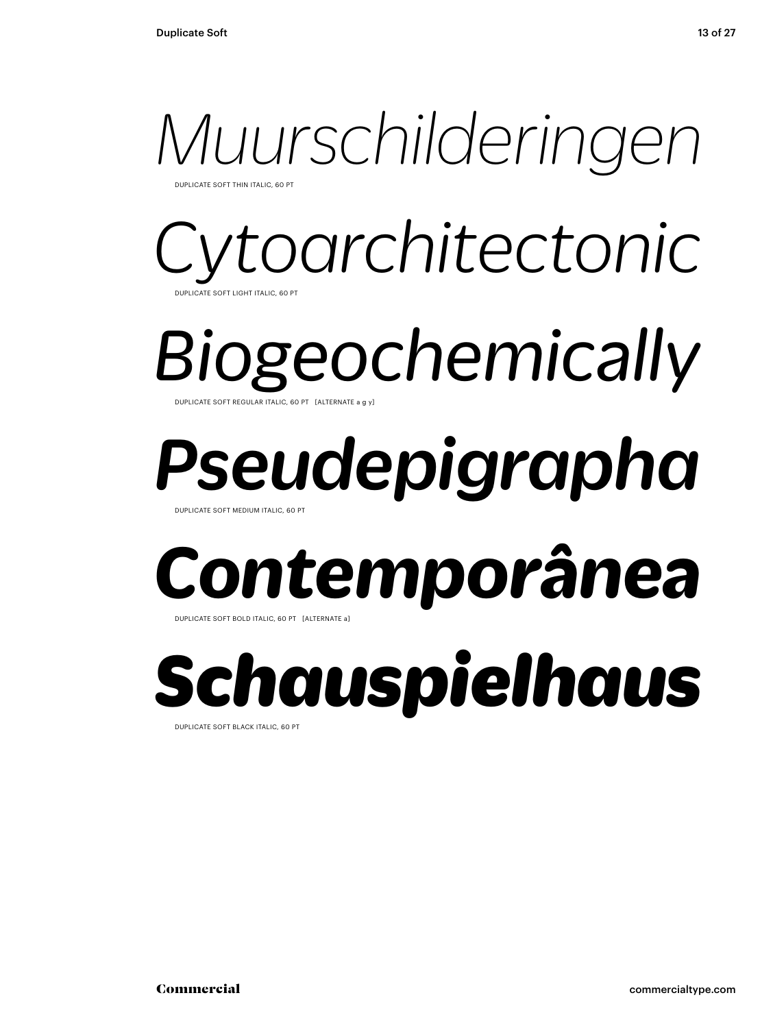

DUPLICATE SOFT THIN ITALIC, 60 PT

### *Cytoarchitectonic*  DUPLICATE SOFT LIGHT ITALIC, 60 PT

*Biogeochemically* DUPLICATE SOFT REGULAR ITALIC, 60 PT [ALTERNATE a g y]

# *Pseudepigrapha*

DUPLICATE SOFT MEDIUM ITALIC, 60 PT

## *Contemporânea*

DUPLICATE SOFT BOLD ITALIC, 60 PT [ALTERNATE a]

*Schauspielhaus* DUPLICATE SOFT BLACK ITALIC, 60 PT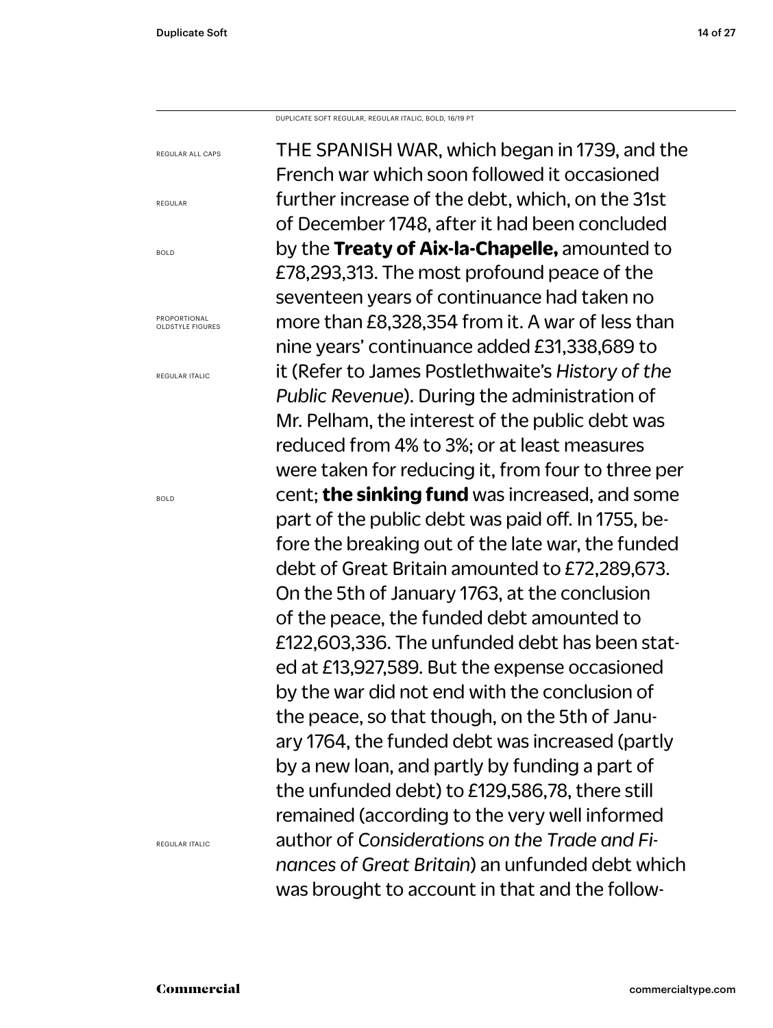REGULAR ALL CAPS

PROPORTIONAL OLDSTYLE FIGURES

REGULAR ITALIC

REGULAR

BOLD

DUPLICATE SOFT REGULAR, REGULAR ITALIC, BOLD, 16/19 PT

THE SPANISH WAR, which began in 1739, and the French war which soon followed it occasioned further increase of the debt, which, on the 31st of December 1748, after it had been concluded by the **Treaty of Aix-la-Chapelle,** amounted to £78,293,313. The most profound peace of the seventeen years of continuance had taken no more than £8,328,354 from it. A war of less than nine years' continuance added £31,338,689 to it (Refer to James Postlethwaite's *History of the Public Revenue*). During the administration of Mr. Pelham, the interest of the public debt was reduced from 4% to 3%; or at least measures were taken for reducing it, from four to three per cent; **the sinking fund** was increased, and some part of the public debt was paid off. In 1755, before the breaking out of the late war, the funded debt of Great Britain amounted to £72,289,673. On the 5th of January 1763, at the conclusion of the peace, the funded debt amounted to £122,603,336. The unfunded debt has been stated at £13,927,589. But the expense occasioned by the war did not end with the conclusion of the peace, so that though, on the 5th of January 1764, the funded debt was increased (partly by a new loan, and partly by funding a part of the unfunded debt) to £129,586,78, there still remained (according to the very well informed author of *Considerations on the Trade and Finances of Great Britain*) an unfunded debt which was brought to account in that and the follow-

BOLD

REGULAR ITALIC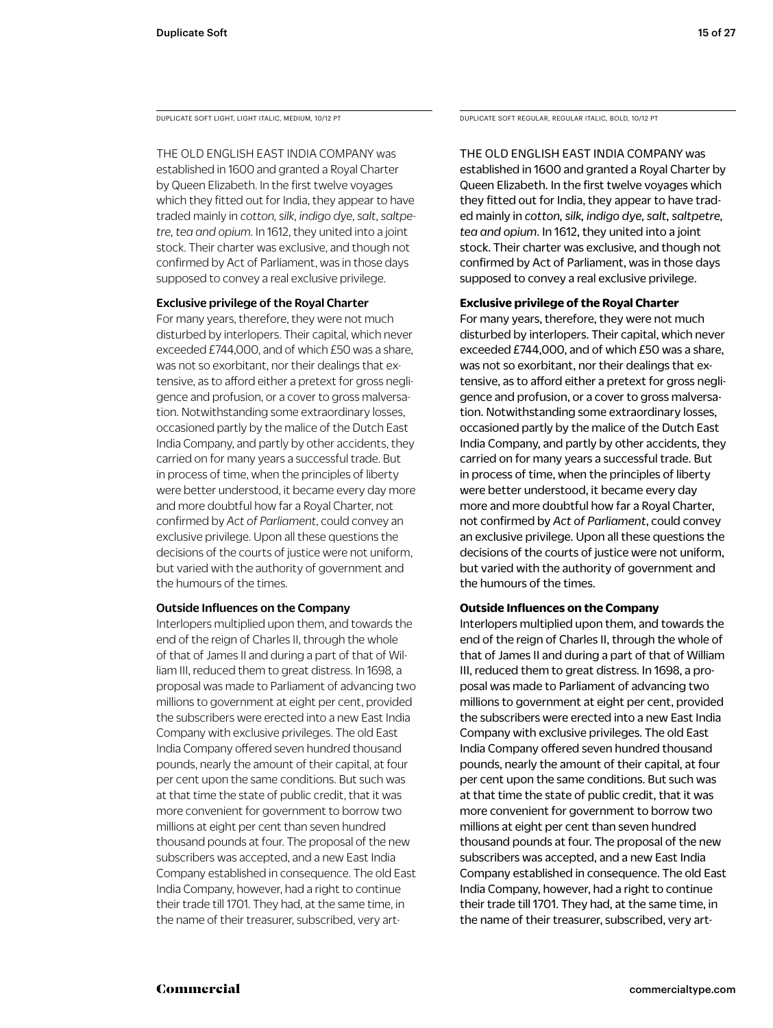THE OLD ENGLISH EAST INDIA COMPANY was

established in 1600 and granted a Royal Charter by Queen Elizabeth. In the first twelve voyages which they fitted out for India, they appear to have traded mainly in *cotton, silk, indigo dye, salt, saltpetre, tea and opium*. In 1612, they united into a joint stock. Their charter was exclusive, and though not confirmed by Act of Parliament, was in those days supposed to convey a real exclusive privilege.

### Exclusive privilege of the Royal Charter

For many years, therefore, they were not much disturbed by interlopers. Their capital, which never exceeded £744,000, and of which £50 was a share, was not so exorbitant, nor their dealings that extensive, as to afford either a pretext for gross negligence and profusion, or a cover to gross malversation. Notwithstanding some extraordinary losses, occasioned partly by the malice of the Dutch East India Company, and partly by other accidents, they carried on for many years a successful trade. But in process of time, when the principles of liberty were better understood, it became every day more and more doubtful how far a Royal Charter, not confirmed by *Act of Parliament*, could convey an exclusive privilege. Upon all these questions the decisions of the courts of justice were not uniform, but varied with the authority of government and the humours of the times.

### Outside Influences on the Company

Interlopers multiplied upon them, and towards the end of the reign of Charles II, through the whole of that of James II and during a part of that of William III, reduced them to great distress. In 1698, a proposal was made to Parliament of advancing two millions to government at eight per cent, provided the subscribers were erected into a new East India Company with exclusive privileges. The old East India Company offered seven hundred thousand pounds, nearly the amount of their capital, at four per cent upon the same conditions. But such was at that time the state of public credit, that it was more convenient for government to borrow two millions at eight per cent than seven hundred thousand pounds at four. The proposal of the new subscribers was accepted, and a new East India Company established in consequence. The old East India Company, however, had a right to continue their trade till 1701. They had, at the same time, in the name of their treasurer, subscribed, very art-

DUPLICATE SOFT LIGHT, LIGHT ITALIC, MEDIUM, 10/12 PT DUPLICATE SOFT REGULAR, REGULAR ITALIC, BOLD, 10/12 PT

THE OLD ENGLISH EAST INDIA COMPANY was established in 1600 and granted a Royal Charter by Queen Elizabeth. In the first twelve voyages which they fitted out for India, they appear to have traded mainly in *cotton, silk, indigo dye, salt, saltpetre, tea and opium*. In 1612, they united into a joint stock. Their charter was exclusive, and though not confirmed by Act of Parliament, was in those days supposed to convey a real exclusive privilege.

### **Exclusive privilege of the Royal Charter**

For many years, therefore, they were not much disturbed by interlopers. Their capital, which never exceeded £744,000, and of which £50 was a share, was not so exorbitant, nor their dealings that extensive, as to afford either a pretext for gross negligence and profusion, or a cover to gross malversation. Notwithstanding some extraordinary losses, occasioned partly by the malice of the Dutch East India Company, and partly by other accidents, they carried on for many years a successful trade. But in process of time, when the principles of liberty were better understood, it became every day more and more doubtful how far a Royal Charter, not confirmed by *Act of Parliament*, could convey an exclusive privilege. Upon all these questions the decisions of the courts of justice were not uniform, but varied with the authority of government and the humours of the times.

### **Outside Influences on the Company**

Interlopers multiplied upon them, and towards the end of the reign of Charles II, through the whole of that of James II and during a part of that of William III, reduced them to great distress. In 1698, a proposal was made to Parliament of advancing two millions to government at eight per cent, provided the subscribers were erected into a new East India Company with exclusive privileges. The old East India Company offered seven hundred thousand pounds, nearly the amount of their capital, at four per cent upon the same conditions. But such was at that time the state of public credit, that it was more convenient for government to borrow two millions at eight per cent than seven hundred thousand pounds at four. The proposal of the new subscribers was accepted, and a new East India Company established in consequence. The old East India Company, however, had a right to continue their trade till 1701. They had, at the same time, in the name of their treasurer, subscribed, very art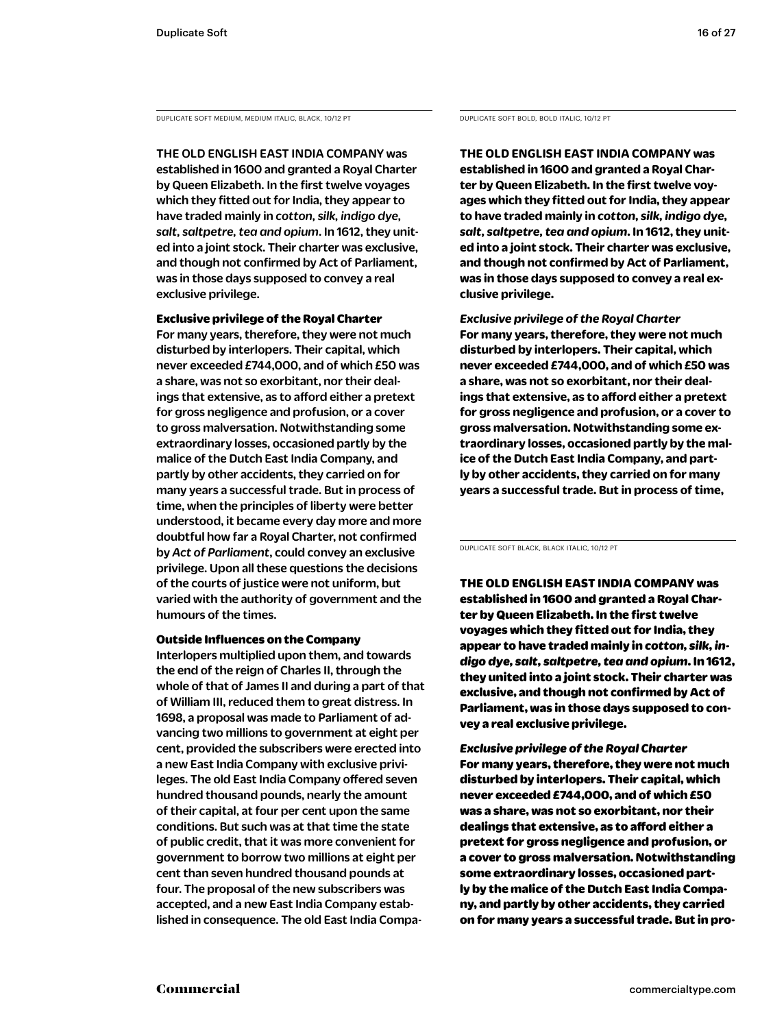DUPLICATE SOFT MEDIUM, MEDIUM ITALIC, BLACK, 10/12 PT DUPLICATE SOFT BOLD, BOLD ITALIC, 10/12 PT

THE OLD ENGLISH EAST INDIA COMPANY was established in 1600 and granted a Royal Charter by Queen Elizabeth. In the first twelve voyages which they fitted out for India, they appear to have traded mainly in *cotton, silk, indigo dye, salt, saltpetre, tea and opium*. In 1612, they united into a joint stock. Their charter was exclusive, and though not confirmed by Act of Parliament, was in those days supposed to convey a real exclusive privilege.

Exclusive privilege of the Royal Charter For many years, therefore, they were not much disturbed by interlopers. Their capital, which never exceeded £744,000, and of which £50 was a share, was not so exorbitant, nor their dealings that extensive, as to afford either a pretext for gross negligence and profusion, or a cover to gross malversation. Notwithstanding some extraordinary losses, occasioned partly by the malice of the Dutch East India Company, and partly by other accidents, they carried on for many years a successful trade. But in process of time, when the principles of liberty were better understood, it became every day more and more doubtful how far a Royal Charter, not confirmed by *Act of Parliament*, could convey an exclusive privilege. Upon all these questions the decisions of the courts of justice were not uniform, but varied with the authority of government and the humours of the times.

### Outside Influences on the Company

Interlopers multiplied upon them, and towards the end of the reign of Charles II, through the whole of that of James II and during a part of that of William III, reduced them to great distress. In 1698, a proposal was made to Parliament of advancing two millions to government at eight per cent, provided the subscribers were erected into a new East India Company with exclusive privileges. The old East India Company offered seven hundred thousand pounds, nearly the amount of their capital, at four per cent upon the same conditions. But such was at that time the state of public credit, that it was more convenient for government to borrow two millions at eight per cent than seven hundred thousand pounds at four. The proposal of the new subscribers was accepted, and a new East India Company established in consequence. The old East India Compa-

**THE OLD ENGLISH EAST INDIA COMPANY was established in 1600 and granted a Royal Charter by Queen Elizabeth. In the first twelve voyages which they fitted out for India, they appear to have traded mainly in** *cotton, silk, indigo dye, salt, saltpetre, tea and opium***. In 1612, they united into a joint stock. Their charter was exclusive, and though not confirmed by Act of Parliament, was in those days supposed to convey a real exclusive privilege.** 

*Exclusive privilege of the Royal Charter* **For many years, therefore, they were not much disturbed by interlopers. Their capital, which never exceeded £744,000, and of which £50 was a share, was not so exorbitant, nor their dealings that extensive, as to afford either a pretext for gross negligence and profusion, or a cover to gross malversation. Notwithstanding some extraordinary losses, occasioned partly by the malice of the Dutch East India Company, and partly by other accidents, they carried on for many years a successful trade. But in process of time,** 

DUPLICATE SOFT BLACK, BLACK ITALIC, 10/12 PT

THE OLD ENGLISH EAST INDIA COMPANY was established in 1600 and granted a Royal Charter by Queen Elizabeth. In the first twelve voyages which they fitted out for India, they appear to have traded mainly in *cotton, silk, indigo dye, salt, saltpetre, tea and opium*. In 1612, they united into a joint stock. Their charter was exclusive, and though not confirmed by Act of Parliament, was in those days supposed to convey a real exclusive privilege.

*Exclusive privilege of the Royal Charter* For many years, therefore, they were not much disturbed by interlopers. Their capital, which never exceeded £744,000, and of which £50 was a share, was not so exorbitant, nor their dealings that extensive, as to afford either a pretext for gross negligence and profusion, or a cover to gross malversation. Notwithstanding some extraordinary losses, occasioned partly by the malice of the Dutch East India Company, and partly by other accidents, they carried on for many years a successful trade. But in pro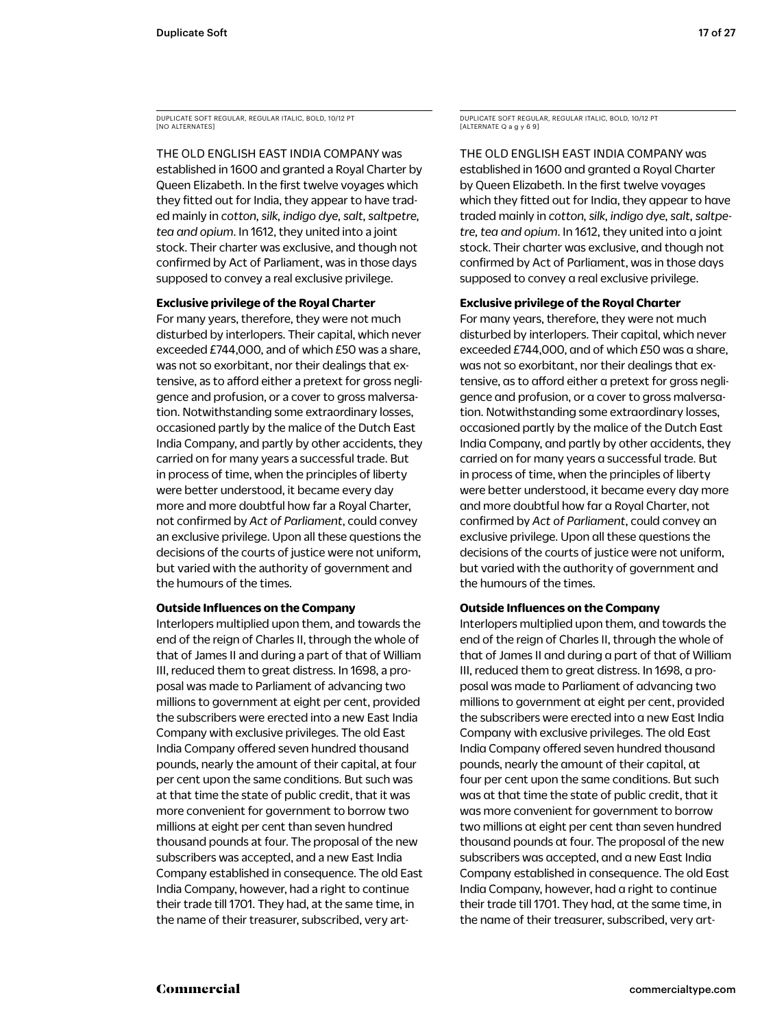DUPLICATE SOFT REGULAR, REGULAR ITALIC, BOLD, 10/12 PT [NO ALTERNATES]

THE OLD ENGLISH EAST INDIA COMPANY was established in 1600 and granted a Royal Charter by Queen Elizabeth. In the first twelve voyages which they fitted out for India, they appear to have traded mainly in *cotton, silk, indigo dye, salt, saltpetre, tea and opium*. In 1612, they united into a joint stock. Their charter was exclusive, and though not confirmed by Act of Parliament, was in those days supposed to convey a real exclusive privilege.

### **Exclusive privilege of the Royal Charter**

For many years, therefore, they were not much disturbed by interlopers. Their capital, which never exceeded £744,000, and of which £50 was a share, was not so exorbitant, nor their dealings that extensive, as to afford either a pretext for gross negligence and profusion, or a cover to gross malversation. Notwithstanding some extraordinary losses, occasioned partly by the malice of the Dutch East India Company, and partly by other accidents, they carried on for many years a successful trade. But in process of time, when the principles of liberty were better understood, it became every day more and more doubtful how far a Royal Charter, not confirmed by *Act of Parliament*, could convey an exclusive privilege. Upon all these questions the decisions of the courts of justice were not uniform, but varied with the authority of government and the humours of the times.

### **Outside Influences on the Company**

Interlopers multiplied upon them, and towards the end of the reign of Charles II, through the whole of that of James II and during a part of that of William III, reduced them to great distress. In 1698, a proposal was made to Parliament of advancing two millions to government at eight per cent, provided the subscribers were erected into a new East India Company with exclusive privileges. The old East India Company offered seven hundred thousand pounds, nearly the amount of their capital, at four per cent upon the same conditions. But such was at that time the state of public credit, that it was more convenient for government to borrow two millions at eight per cent than seven hundred thousand pounds at four. The proposal of the new subscribers was accepted, and a new East India Company established in consequence. The old East India Company, however, had a right to continue their trade till 1701. They had, at the same time, in the name of their treasurer, subscribed, very artDUPLICATE SOFT REGULAR, REGULAR ITALIC, BOLD, 10/12 PT [ALTERNATE Q a g y 6 9]

THE OLD ENGLISH EAST INDIA COMPANY was established in 1600 and granted a Royal Charter by Queen Elizabeth. In the first twelve voyages which they fitted out for India, they appear to have traded mainly in *cotton, silk, indigo dye, salt, saltpetre, tea and opium*. In 1612, they united into a joint stock. Their charter was exclusive, and though not confirmed by Act of Parliament, was in those days supposed to convey a real exclusive privilege.

### **Exclusive privilege of the Royal Charter**

For many years, therefore, they were not much disturbed by interlopers. Their capital, which never exceeded £744,000, and of which £50 was a share, was not so exorbitant, nor their dealings that extensive, as to afford either a pretext for gross negligence and profusion, or a cover to gross malversation. Notwithstanding some extraordinary losses, occasioned partly by the malice of the Dutch East India Company, and partly by other accidents, they carried on for many years a successful trade. But in process of time, when the principles of liberty were better understood, it became every day more and more doubtful how far a Royal Charter, not confirmed by *Act of Parliament*, could convey an exclusive privilege. Upon all these questions the decisions of the courts of justice were not uniform, but varied with the authority of government and the humours of the times.

### **Outside Influences on the Company**

Interlopers multiplied upon them, and towards the end of the reign of Charles II, through the whole of that of James II and during a part of that of William III, reduced them to great distress. In 1698, a proposal was made to Parliament of advancing two millions to government at eight per cent, provided the subscribers were erected into a new East India Company with exclusive privileges. The old East India Company offered seven hundred thousand pounds, nearly the amount of their capital, at four per cent upon the same conditions. But such was at that time the state of public credit, that it was more convenient for government to borrow two millions at eight per cent than seven hundred thousand pounds at four. The proposal of the new subscribers was accepted, and a new East India Company established in consequence. The old East India Company, however, had a right to continue their trade till 1701. They had, at the same time, in the name of their treasurer, subscribed, very art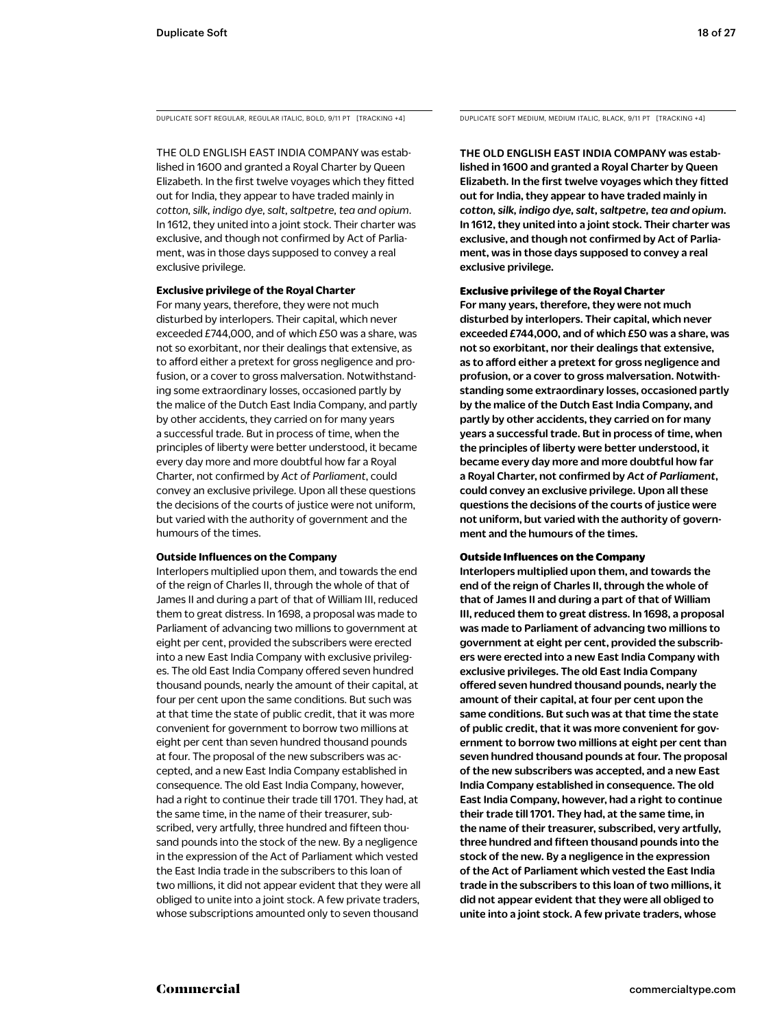DUPLICATE SOFT REGULAR, REGULAR ITALIC, BOLD, 9/11 PT [TRACKING +4] DUPLICATE SOFT MEDIUM, MEDIUM ITALIC, BLACK, 9/11 PT [TRACKING +4]

THE OLD ENGLISH EAST INDIA COMPANY was established in 1600 and granted a Royal Charter by Queen Elizabeth. In the first twelve voyages which they fitted out for India, they appear to have traded mainly in *cotton, silk, indigo dye, salt, saltpetre, tea and opium*. In 1612, they united into a joint stock. Their charter was exclusive, and though not confirmed by Act of Parliament, was in those days supposed to convey a real exclusive privilege.

### **Exclusive privilege of the Royal Charter**

For many years, therefore, they were not much disturbed by interlopers. Their capital, which never exceeded £744,000, and of which £50 was a share, was not so exorbitant, nor their dealings that extensive, as to afford either a pretext for gross negligence and profusion, or a cover to gross malversation. Notwithstanding some extraordinary losses, occasioned partly by the malice of the Dutch East India Company, and partly by other accidents, they carried on for many years a successful trade. But in process of time, when the principles of liberty were better understood, it became every day more and more doubtful how far a Royal Charter, not confirmed by *Act of Parliament*, could convey an exclusive privilege. Upon all these questions the decisions of the courts of justice were not uniform, but varied with the authority of government and the humours of the times.

### **Outside Influences on the Company**

Interlopers multiplied upon them, and towards the end of the reign of Charles II, through the whole of that of James II and during a part of that of William III, reduced them to great distress. In 1698, a proposal was made to Parliament of advancing two millions to government at eight per cent, provided the subscribers were erected into a new East India Company with exclusive privileges. The old East India Company offered seven hundred thousand pounds, nearly the amount of their capital, at four per cent upon the same conditions. But such was at that time the state of public credit, that it was more convenient for government to borrow two millions at eight per cent than seven hundred thousand pounds at four. The proposal of the new subscribers was accepted, and a new East India Company established in consequence. The old East India Company, however, had a right to continue their trade till 1701. They had, at the same time, in the name of their treasurer, subscribed, very artfully, three hundred and fifteen thousand pounds into the stock of the new. By a negligence in the expression of the Act of Parliament which vested the East India trade in the subscribers to this loan of two millions, it did not appear evident that they were all obliged to unite into a joint stock. A few private traders, whose subscriptions amounted only to seven thousand

THE OLD ENGLISH EAST INDIA COMPANY was established in 1600 and granted a Royal Charter by Queen Elizabeth. In the first twelve voyages which they fitted out for India, they appear to have traded mainly in *cotton, silk, indigo dye, salt, saltpetre, tea and opium*. In 1612, they united into a joint stock. Their charter was exclusive, and though not confirmed by Act of Parliament, was in those days supposed to convey a real exclusive privilege.

### Exclusive privilege of the Royal Charter

For many years, therefore, they were not much disturbed by interlopers. Their capital, which never exceeded £744,000, and of which £50 was a share, was not so exorbitant, nor their dealings that extensive, as to afford either a pretext for gross negligence and profusion, or a cover to gross malversation. Notwithstanding some extraordinary losses, occasioned partly by the malice of the Dutch East India Company, and partly by other accidents, they carried on for many years a successful trade. But in process of time, when the principles of liberty were better understood, it became every day more and more doubtful how far a Royal Charter, not confirmed by *Act of Parliament*, could convey an exclusive privilege. Upon all these questions the decisions of the courts of justice were not uniform, but varied with the authority of government and the humours of the times.

### Outside Influences on the Company

Interlopers multiplied upon them, and towards the end of the reign of Charles II, through the whole of that of James II and during a part of that of William III, reduced them to great distress. In 1698, a proposal was made to Parliament of advancing two millions to government at eight per cent, provided the subscribers were erected into a new East India Company with exclusive privileges. The old East India Company offered seven hundred thousand pounds, nearly the amount of their capital, at four per cent upon the same conditions. But such was at that time the state of public credit, that it was more convenient for government to borrow two millions at eight per cent than seven hundred thousand pounds at four. The proposal of the new subscribers was accepted, and a new East India Company established in consequence. The old East India Company, however, had a right to continue their trade till 1701. They had, at the same time, in the name of their treasurer, subscribed, very artfully, three hundred and fifteen thousand pounds into the stock of the new. By a negligence in the expression of the Act of Parliament which vested the East India trade in the subscribers to this loan of two millions, it did not appear evident that they were all obliged to unite into a joint stock. A few private traders, whose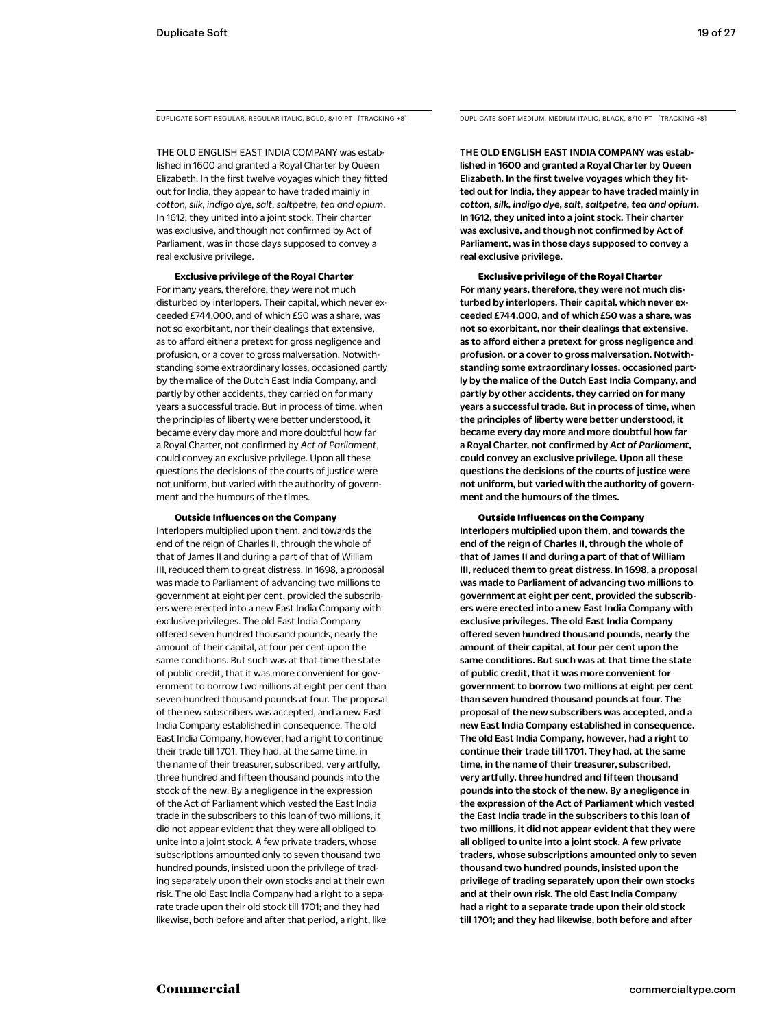THE OLD ENGLISH EAST INDIA COMPANY was established in 1600 and granted a Royal Charter by Queen Elizabeth. In the first twelve voyages which they fitted out for India, they appear to have traded mainly in *cotton, silk, indigo dye, salt, saltpetre, tea and opium*. In 1612, they united into a joint stock. Their charter was exclusive, and though not confirmed by Act of Parliament, was in those days supposed to convey a real exclusive privilege.

**Exclusive privilege of the Royal Charter**

For many years, therefore, they were not much disturbed by interlopers. Their capital, which never exceeded £744,000, and of which £50 was a share, was not so exorbitant, nor their dealings that extensive, as to afford either a pretext for gross negligence and profusion, or a cover to gross malversation. Notwithstanding some extraordinary losses, occasioned partly by the malice of the Dutch East India Company, and partly by other accidents, they carried on for many years a successful trade. But in process of time, when the principles of liberty were better understood, it became every day more and more doubtful how far a Royal Charter, not confirmed by *Act of Parliament*, could convey an exclusive privilege. Upon all these questions the decisions of the courts of justice were not uniform, but varied with the authority of government and the humours of the times.

### **Outside Influences on the Company**

Interlopers multiplied upon them, and towards the end of the reign of Charles II, through the whole of that of James II and during a part of that of William III, reduced them to great distress. In 1698, a proposal was made to Parliament of advancing two millions to government at eight per cent, provided the subscribers were erected into a new East India Company with exclusive privileges. The old East India Company offered seven hundred thousand pounds, nearly the amount of their capital, at four per cent upon the same conditions. But such was at that time the state of public credit, that it was more convenient for government to borrow two millions at eight per cent than seven hundred thousand pounds at four. The proposal of the new subscribers was accepted, and a new East India Company established in consequence. The old East India Company, however, had a right to continue their trade till 1701. They had, at the same time, in the name of their treasurer, subscribed, very artfully, three hundred and fifteen thousand pounds into the stock of the new. By a negligence in the expression of the Act of Parliament which vested the East India trade in the subscribers to this loan of two millions, it did not appear evident that they were all obliged to unite into a joint stock. A few private traders, whose subscriptions amounted only to seven thousand two hundred pounds, insisted upon the privilege of trading separately upon their own stocks and at their own risk. The old East India Company had a right to a separate trade upon their old stock till 1701; and they had likewise, both before and after that period, a right, like

DUPLICATE SOFT REGULAR, REGULAR ITALIC, BOLD, 8/10 PT [TRACKING +8] DUPLICATE SOFT MEDIUM, MEDIUM ITALIC, BLACK, 8/10 PT [TRACKING +8]

THE OLD ENGLISH EAST INDIA COMPANY was established in 1600 and granted a Royal Charter by Queen Elizabeth. In the first twelve voyages which they fitted out for India, they appear to have traded mainly in *cotton, silk, indigo dye, salt, saltpetre, tea and opium*. In 1612, they united into a joint stock. Their charter was exclusive, and though not confirmed by Act of Parliament, was in those days supposed to convey a real exclusive privilege.

### Exclusive privilege of the Royal Charter

For many years, therefore, they were not much disturbed by interlopers. Their capital, which never exceeded £744,000, and of which £50 was a share, was not so exorbitant, nor their dealings that extensive, as to afford either a pretext for gross negligence and profusion, or a cover to gross malversation. Notwithstanding some extraordinary losses, occasioned partly by the malice of the Dutch East India Company, and partly by other accidents, they carried on for many years a successful trade. But in process of time, when the principles of liberty were better understood, it became every day more and more doubtful how far a Royal Charter, not confirmed by *Act of Parliament*, could convey an exclusive privilege. Upon all these questions the decisions of the courts of justice were not uniform, but varied with the authority of government and the humours of the times.

### Outside Influences on the Company

Interlopers multiplied upon them, and towards the end of the reign of Charles II, through the whole of that of James II and during a part of that of William III, reduced them to great distress. In 1698, a proposal was made to Parliament of advancing two millions to government at eight per cent, provided the subscribers were erected into a new East India Company with exclusive privileges. The old East India Company offered seven hundred thousand pounds, nearly the amount of their capital, at four per cent upon the same conditions. But such was at that time the state of public credit, that it was more convenient for government to borrow two millions at eight per cent than seven hundred thousand pounds at four. The proposal of the new subscribers was accepted, and a new East India Company established in consequence. The old East India Company, however, had a right to continue their trade till 1701. They had, at the same time, in the name of their treasurer, subscribed, very artfully, three hundred and fifteen thousand pounds into the stock of the new. By a negligence in the expression of the Act of Parliament which vested the East India trade in the subscribers to this loan of two millions, it did not appear evident that they were all obliged to unite into a joint stock. A few private traders, whose subscriptions amounted only to seven thousand two hundred pounds, insisted upon the privilege of trading separately upon their own stocks and at their own risk. The old East India Company had a right to a separate trade upon their old stock till 1701; and they had likewise, both before and after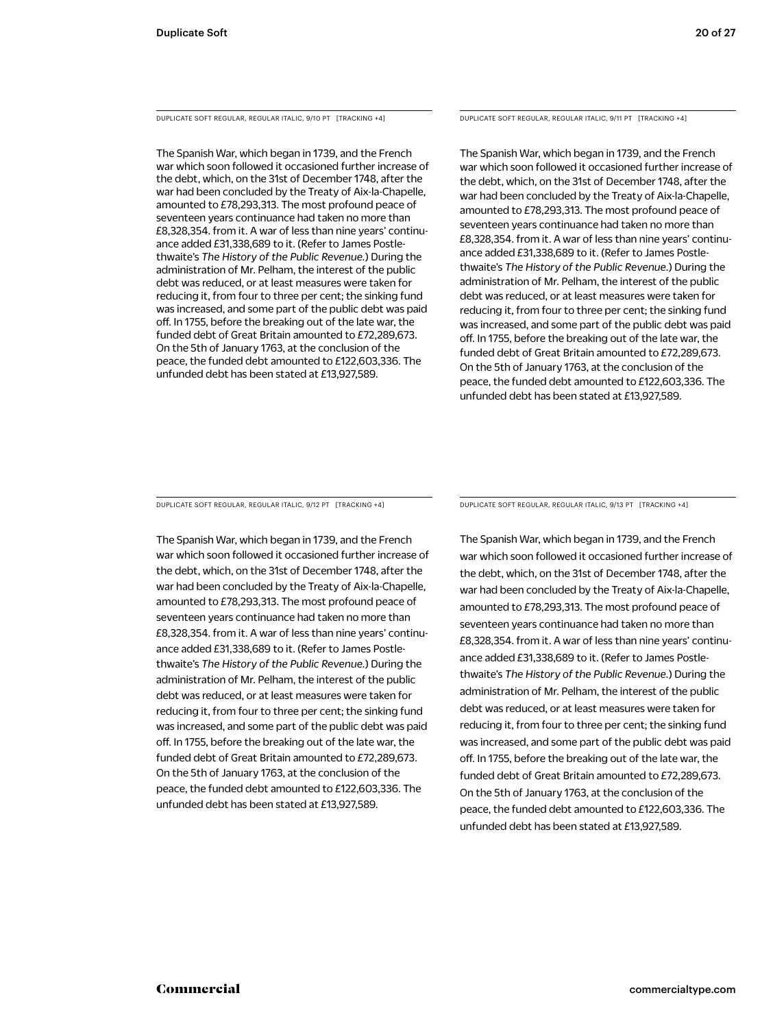DUPLICATE SOFT REGULAR, REGULAR ITALIC, 9/10 PT [TRACKING +4]

The Spanish War, which began in 1739, and the French war which soon followed it occasioned further increase of the debt, which, on the 31st of December 1748, after the war had been concluded by the Treaty of Aix-la-Chapelle, amounted to £78,293,313. The most profound peace of seventeen years continuance had taken no more than £8,328,354. from it. A war of less than nine years' continuance added £31,338,689 to it. (Refer to James Postlethwaite's *The History of the Public Revenue.*) During the administration of Mr. Pelham, the interest of the public debt was reduced, or at least measures were taken for reducing it, from four to three per cent; the sinking fund was increased, and some part of the public debt was paid off. In 1755, before the breaking out of the late war, the funded debt of Great Britain amounted to £72,289,673. On the 5th of January 1763, at the conclusion of the peace, the funded debt amounted to £122,603,336. The unfunded debt has been stated at £13,927,589.

DUPLICATE SOFT REGULAR, REGULAR ITALIC, 9/11 PT [TRACKING +4]

The Spanish War, which began in 1739, and the French war which soon followed it occasioned further increase of the debt, which, on the 31st of December 1748, after the war had been concluded by the Treaty of Aix-la-Chapelle, amounted to £78,293,313. The most profound peace of seventeen years continuance had taken no more than £8,328,354. from it. A war of less than nine years' continuance added £31,338,689 to it. (Refer to James Postlethwaite's *The History of the Public Revenue.*) During the administration of Mr. Pelham, the interest of the public debt was reduced, or at least measures were taken for reducing it, from four to three per cent; the sinking fund was increased, and some part of the public debt was paid off. In 1755, before the breaking out of the late war, the funded debt of Great Britain amounted to £72,289,673. On the 5th of January 1763, at the conclusion of the peace, the funded debt amounted to £122,603,336. The unfunded debt has been stated at £13,927,589.

DUPLICATE SOFT REGULAR, REGULAR ITALIC, 9/12 PT [TRACKING +4]

The Spanish War, which began in 1739, and the French war which soon followed it occasioned further increase of the debt, which, on the 31st of December 1748, after the war had been concluded by the Treaty of Aix-la-Chapelle, amounted to £78,293,313. The most profound peace of seventeen years continuance had taken no more than £8,328,354. from it. A war of less than nine years' continuance added £31,338,689 to it. (Refer to James Postlethwaite's *The History of the Public Revenue.*) During the administration of Mr. Pelham, the interest of the public debt was reduced, or at least measures were taken for reducing it, from four to three per cent; the sinking fund was increased, and some part of the public debt was paid off. In 1755, before the breaking out of the late war, the funded debt of Great Britain amounted to £72,289,673. On the 5th of January 1763, at the conclusion of the peace, the funded debt amounted to £122,603,336. The unfunded debt has been stated at £13,927,589.

DUPLICATE SOFT REGULAR, REGULAR ITALIC, 9/13 PT [TRACKING +4]

The Spanish War, which began in 1739, and the French war which soon followed it occasioned further increase of the debt, which, on the 31st of December 1748, after the war had been concluded by the Treaty of Aix-la-Chapelle, amounted to £78,293,313. The most profound peace of seventeen years continuance had taken no more than £8,328,354. from it. A war of less than nine years' continuance added £31,338,689 to it. (Refer to James Postlethwaite's *The History of the Public Revenue.*) During the administration of Mr. Pelham, the interest of the public debt was reduced, or at least measures were taken for reducing it, from four to three per cent; the sinking fund was increased, and some part of the public debt was paid off. In 1755, before the breaking out of the late war, the funded debt of Great Britain amounted to £72,289,673. On the 5th of January 1763, at the conclusion of the peace, the funded debt amounted to £122,603,336. The unfunded debt has been stated at £13,927,589.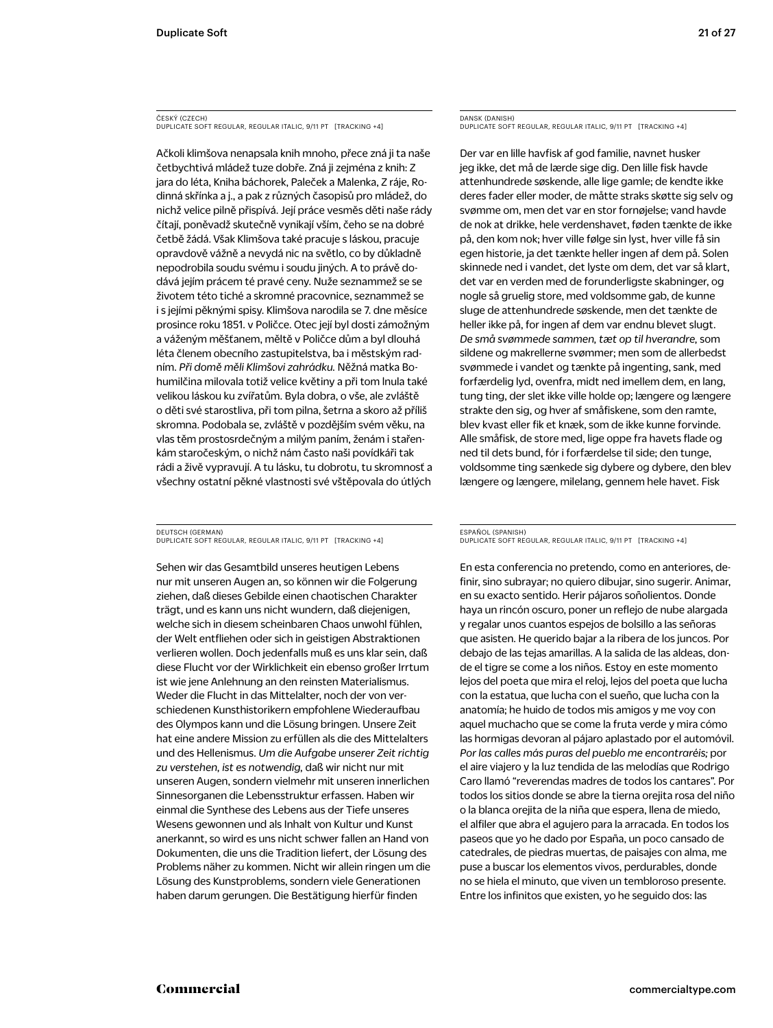### ČESKÝ (CZECH) DUPLICATE SOFT REGULAR, REGULAR ITALIC, 9/11 PT [TRACKING +4]

Ačkoli klimšova nenapsala knih mnoho, přece zná ji ta naše četbychtivá mládež tuze dobře. Zná ji zejména z knih: Z jara do léta, Kniha báchorek, Paleček a Malenka, Z ráje, Rodinná skřínka a j., a pak z různých časopisů pro mládež, do nichž velice pilně přispívá. Její práce vesměs děti naše rády čítají, poněvadž skutečně vynikají vším, čeho se na dobré četbě žádá. Však Klimšova také pracuje s láskou, pracuje opravdově vážně a nevydá nic na světlo, co by důkladně nepodrobila soudu svému i soudu jiných. A to právě dodává jejím prácem té pravé ceny. Nuže seznammež se se životem této tiché a skromné pracovnice, seznammež se i s jejími pěknými spisy. Klimšova narodila se 7. dne měsíce prosince roku 1851. v Poličce. Otec její byl dosti zámožným a váženým měšťanem, měltě v Poličce dům a byl dlouhá léta členem obecního zastupitelstva, ba i městským radním. *Při domě měli Klimšovi zahrádku.* Něžná matka Bohumilčina milovala totiž velice květiny a při tom lnula také velikou láskou ku zvířatům. Byla dobra, o vše, ale zvláště o děti své starostliva, při tom pilna, šetrna a skoro až příliš skromna. Podobala se, zvláště v pozdějším svém věku, na vlas těm prostosrdečným a milým paním, ženám i stařenkám staročeským, o nichž nám často naši povídkáři tak rádi a živě vypravují. A tu lásku, tu dobrotu, tu skromnosť a všechny ostatní pěkné vlastnosti své vštěpovala do útlých

DEUTSCH (GERMAN) DUPLICATE SOFT REGULAR, REGULAR ITALIC, 9/11 PT [TRACKING +4]

Sehen wir das Gesamtbild unseres heutigen Lebens nur mit unseren Augen an, so können wir die Folgerung ziehen, daß dieses Gebilde einen chaotischen Charakter trägt, und es kann uns nicht wundern, daß diejenigen, welche sich in diesem scheinbaren Chaos unwohl fühlen, der Welt entfliehen oder sich in geistigen Abstraktionen verlieren wollen. Doch jedenfalls muß es uns klar sein, daß diese Flucht vor der Wirklichkeit ein ebenso großer Irrtum ist wie jene Anlehnung an den reinsten Materialismus. Weder die Flucht in das Mittelalter, noch der von verschiedenen Kunsthistorikern empfohlene Wiederaufbau des Olympos kann und die Lösung bringen. Unsere Zeit hat eine andere Mission zu erfüllen als die des Mittelalters und des Hellenismus. *Um die Aufgabe unserer Zeit richtig zu verstehen, ist es notwendig,* daß wir nicht nur mit unseren Augen, sondern vielmehr mit unseren innerlichen Sinnesorganen die Lebensstruktur erfassen. Haben wir einmal die Synthese des Lebens aus der Tiefe unseres Wesens gewonnen und als Inhalt von Kultur und Kunst anerkannt, so wird es uns nicht schwer fallen an Hand von Dokumenten, die uns die Tradition liefert, der Lösung des Problems näher zu kommen. Nicht wir allein ringen um die Lösung des Kunstproblems, sondern viele Generationen haben darum gerungen. Die Bestätigung hierfür finden

### DANSK (DANISH) DUPLICATE SOFT REGULAR, REGULAR ITALIC, 9/11 PT [TRACKING +4]

Der var en lille havfisk af god familie, navnet husker jeg ikke, det må de lærde sige dig. Den lille fisk havde attenhundrede søskende, alle lige gamle; de kendte ikke deres fader eller moder, de måtte straks skøtte sig selv og svømme om, men det var en stor fornøjelse; vand havde de nok at drikke, hele verdenshavet, føden tænkte de ikke på, den kom nok; hver ville følge sin lyst, hver ville få sin egen historie, ja det tænkte heller ingen af dem på. Solen skinnede ned i vandet, det lyste om dem, det var så klart, det var en verden med de forunderligste skabninger, og nogle så gruelig store, med voldsomme gab, de kunne sluge de attenhundrede søskende, men det tænkte de heller ikke på, for ingen af dem var endnu blevet slugt. *De små svømmede sammen, tæt op til hverandre,* som sildene og makrellerne svømmer; men som de allerbedst svømmede i vandet og tænkte på ingenting, sank, med forfærdelig lyd, ovenfra, midt ned imellem dem, en lang, tung ting, der slet ikke ville holde op; længere og længere strakte den sig, og hver af småfiskene, som den ramte, blev kvast eller fik et knæk, som de ikke kunne forvinde. Alle småfisk, de store med, lige oppe fra havets flade og ned til dets bund, fór i forfærdelse til side; den tunge, voldsomme ting sænkede sig dybere og dybere, den blev længere og længere, milelang, gennem hele havet. Fisk

### ESPAÑOL (SPANISH) DUPLICATE SOFT REGULAR, REGULAR ITALIC, 9/11 PT [TRACKING +4]

En esta conferencia no pretendo, como en anteriores, definir, sino subrayar; no quiero dibujar, sino sugerir. Animar, en su exacto sentido. Herir pájaros soñolientos. Donde haya un rincón oscuro, poner un reflejo de nube alargada y regalar unos cuantos espejos de bolsillo a las señoras que asisten. He querido bajar a la ribera de los juncos. Por debajo de las tejas amarillas. A la salida de las aldeas, donde el tigre se come a los niños. Estoy en este momento lejos del poeta que mira el reloj, lejos del poeta que lucha con la estatua, que lucha con el sueño, que lucha con la anatomía; he huido de todos mis amigos y me voy con aquel muchacho que se come la fruta verde y mira cómo las hormigas devoran al pájaro aplastado por el automóvil. *Por las calles más puras del pueblo me encontraréis;* por el aire viajero y la luz tendida de las melodías que Rodrigo Caro llamó "reverendas madres de todos los cantares". Por todos los sitios donde se abre la tierna orejita rosa del niño o la blanca orejita de la niña que espera, llena de miedo, el alfiler que abra el agujero para la arracada. En todos los paseos que yo he dado por España, un poco cansado de catedrales, de piedras muertas, de paisajes con alma, me puse a buscar los elementos vivos, perdurables, donde no se hiela el minuto, que viven un tembloroso presente. Entre los infinitos que existen, yo he seguido dos: las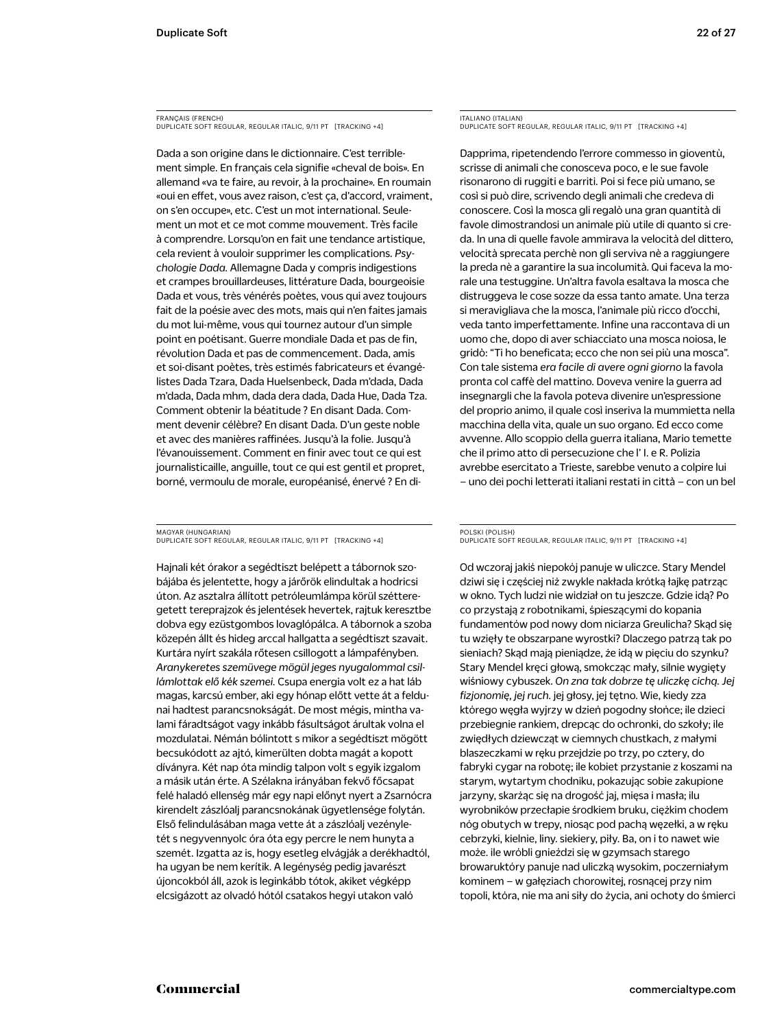FRANÇAIS (FRENCH) DUPLICATE SOFT REGULAR, REGULAR ITALIC, 9/11 PT [TRACKING +4]

Dada a son origine dans le dictionnaire. C'est terriblement simple. En français cela signifie «cheval de bois». En allemand «va te faire, au revoir, à la prochaine». En roumain «oui en effet, vous avez raison, c'est ça, d'accord, vraiment, on s'en occupe», etc. C'est un mot international. Seulement un mot et ce mot comme mouvement. Très facile à comprendre. Lorsqu'on en fait une tendance artistique, cela revient à vouloir supprimer les complications. *Psychologie Dada.* Allemagne Dada y compris indigestions et crampes brouillardeuses, littérature Dada, bourgeoisie Dada et vous, très vénérés poètes, vous qui avez toujours fait de la poésie avec des mots, mais qui n'en faites jamais du mot lui-même, vous qui tournez autour d'un simple point en poétisant. Guerre mondiale Dada et pas de fin, révolution Dada et pas de commencement. Dada, amis et soi-disant poètes, très estimés fabricateurs et évangélistes Dada Tzara, Dada Huelsenbeck, Dada m'dada, Dada m'dada, Dada mhm, dada dera dada, Dada Hue, Dada Tza. Comment obtenir la béatitude ? En disant Dada. Comment devenir célèbre? En disant Dada. D'un geste noble et avec des manières raffinées. Jusqu'à la folie. Jusqu'à l'évanouissement. Comment en finir avec tout ce qui est journalisticaille, anguille, tout ce qui est gentil et propret, borné, vermoulu de morale, européanisé, énervé ? En di-

MAGYAR (HUNGARIAN) DUPLICATE SOFT REGULAR, REGULAR ITALIC, 9/11 PT [TRACKING +4]

Hajnali két órakor a segédtiszt belépett a tábornok szobájába és jelentette, hogy a járőrök elindultak a hodricsi úton. Az asztalra állított petróleumlámpa körül szétteregetett tereprajzok és jelentések hevertek, rajtuk keresztbe dobva egy ezüstgombos lovaglópálca. A tábornok a szoba közepén állt és hideg arccal hallgatta a segédtiszt szavait. Kurtára nyírt szakála rőtesen csillogott a lámpafényben. *Aranykeretes szemüvege mögül jeges nyugalommal csillámlottak elő kék szemei.* Csupa energia volt ez a hat láb magas, karcsú ember, aki egy hónap előtt vette át a feldunai hadtest parancsnokságát. De most mégis, mintha valami fáradtságot vagy inkább fásultságot árultak volna el mozdulatai. Némán bólintott s mikor a segédtiszt mögött becsukódott az ajtó, kimerülten dobta magát a kopott díványra. Két nap óta mindig talpon volt s egyik izgalom a másik után érte. A Szélakna irányában fekvő főcsapat felé haladó ellenség már egy napi előnyt nyert a Zsarnócra kirendelt zászlóalj parancsnokának ügyetlensége folytán. Első felindulásában maga vette át a zászlóalj vezényletét s negyvennyolc óra óta egy percre le nem hunyta a szemét. Izgatta az is, hogy esetleg elvágják a derékhadtól, ha ugyan be nem kerítik. A legénység pedig javarészt újoncokból áll, azok is leginkább tótok, akiket végképp elcsigázott az olvadó hótól csatakos hegyi utakon való

ITALIANO (ITALIAN) DUPLICATE SOFT REGULAR, REGULAR ITALIC, 9/11 PT [TRACKING +4]

Dapprima, ripetendendo l'errore commesso in gioventù, scrisse di animali che conosceva poco, e le sue favole risonarono di ruggiti e barriti. Poi si fece più umano, se così si può dire, scrivendo degli animali che credeva di conoscere. Così la mosca gli regalò una gran quantità di favole dimostrandosi un animale più utile di quanto si creda. In una di quelle favole ammirava la velocità del dittero, velocità sprecata perchè non gli serviva nè a raggiungere la preda nè a garantire la sua incolumità. Qui faceva la morale una testuggine. Un'altra favola esaltava la mosca che distruggeva le cose sozze da essa tanto amate. Una terza si meravigliava che la mosca, l'animale più ricco d'occhi, veda tanto imperfettamente. Infine una raccontava di un uomo che, dopo di aver schiacciato una mosca noiosa, le gridò: "Ti ho beneficata; ecco che non sei più una mosca". Con tale sistema *era facile di avere ogni giorno* la favola pronta col caffè del mattino. Doveva venire la guerra ad insegnargli che la favola poteva divenire un'espressione del proprio animo, il quale così inseriva la mummietta nella macchina della vita, quale un suo organo. Ed ecco come avvenne. Allo scoppio della guerra italiana, Mario temette che il primo atto di persecuzione che l' I. e R. Polizia avrebbe esercitato a Trieste, sarebbe venuto a colpire lui – uno dei pochi letterati italiani restati in città – con un bel

POLSKI (POLISH) DUPLICATE SOFT REGULAR, REGULAR ITALIC, 9/11 PT [TRACKING +4]

Od wczoraj jakiś niepokój panuje w uliczce. Stary Mendel dziwi się i częściej niż zwykle nakłada krótką łajkę patrząc w okno. Tych ludzi nie widział on tu jeszcze. Gdzie idą? Po co przystają z robotnikami, śpieszącymi do kopania fundamentów pod nowy dom niciarza Greulicha? Skąd się tu wzięły te obszarpane wyrostki? Dlaczego patrzą tak po sieniach? Skąd mają pieniądze, że idą w pięciu do szynku? Stary Mendel kręci głową, smokcząc mały, silnie wygięty wiśniowy cybuszek. *On zna tak dobrze tę uliczkę cichą. Jej fizjonomię, jej ruch.* jej głosy, jej tętno. Wie, kiedy zza którego węgła wyjrzy w dzień pogodny słońce; ile dzieci przebiegnie rankiem, drepcąc do ochronki, do szkoły; ile zwiędłych dziewcząt w ciemnych chustkach, z małymi blaszeczkami w ręku przejdzie po trzy, po cztery, do fabryki cygar na robotę; ile kobiet przystanie z koszami na starym, wytartym chodniku, pokazując sobie zakupione jarzyny, skarżąc się na drogość jaj, mięsa i masła; ilu wyrobników przecłapie środkiem bruku, ciężkim chodem nóg obutych w trepy, niosąc pod pachą węzełki, a w ręku cebrzyki, kielnie, liny. siekiery, piły. Ba, on i to nawet wie może. ile wróbli gnieździ się w gzymsach starego browaruktóry panuje nad uliczką wysokim, poczerniałym kominem – w gałęziach chorowitej, rosnącej przy nim topoli, która, nie ma ani siły do życia, ani ochoty do śmierci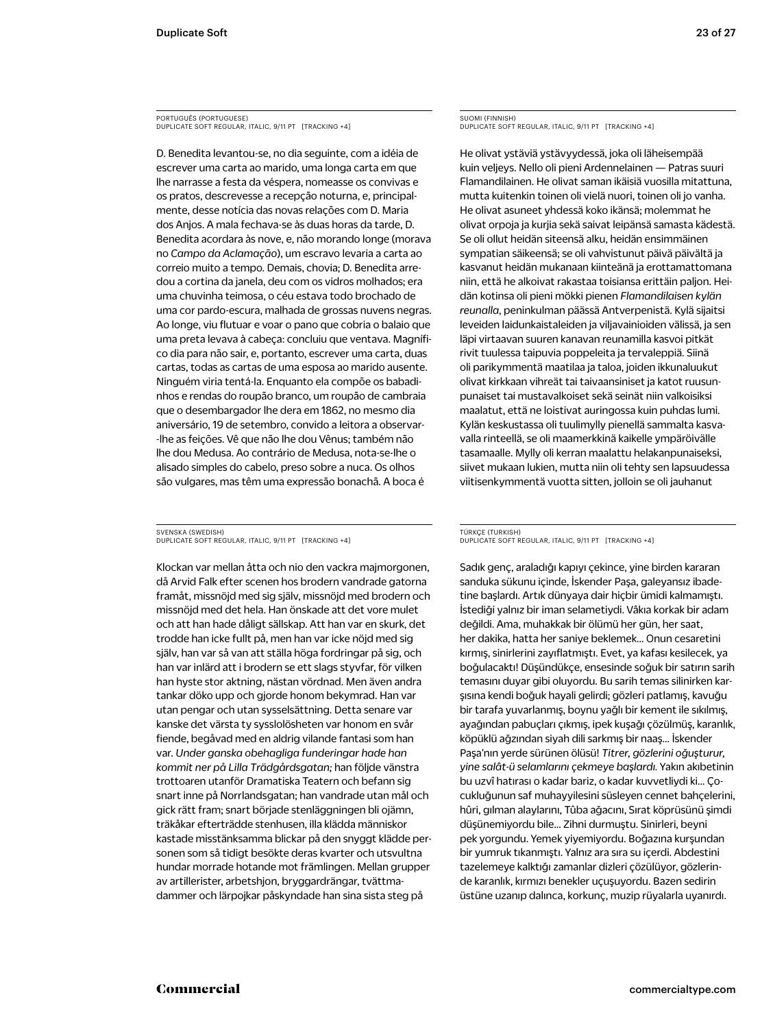PORTUGUÊS (PORTUGUESE) DUPLICATE SOFT REGULAR, ITALIC, 9/11 PT [TRACKING +4]

D. Benedita levantou-se, no dia seguinte, com a idéia de escrever uma carta ao marido, uma longa carta em que lhe narrasse a festa da véspera, nomeasse os convivas e os pratos, descrevesse a recepção noturna, e, principalmente, desse notícia das novas relações com D. Maria dos Anjos. A mala fechava-se às duas horas da tarde, D. Benedita acordara às nove, e, não morando longe (morava no *Campo da Aclamação*), um escravo levaria a carta ao correio muito a tempo. Demais, chovia; D. Benedita arredou a cortina da janela, deu com os vidros molhados; era uma chuvinha teimosa, o céu estava todo brochado de uma cor pardo-escura, malhada de grossas nuvens negras. Ao longe, viu flutuar e voar o pano que cobria o balaio que uma preta levava à cabeça: concluiu que ventava. Magnífico dia para não sair, e, portanto, escrever uma carta, duas cartas, todas as cartas de uma esposa ao marido ausente. Ninguém viria tentá-la. Enquanto ela compõe os babadinhos e rendas do roupão branco, um roupão de cambraia que o desembargador lhe dera em 1862, no mesmo dia aniversário, 19 de setembro, convido a leitora a observar- -lhe as feições. Vê que não lhe dou Vênus; também não lhe dou Medusa. Ao contrário de Medusa, nota-se-lhe o alisado simples do cabelo, preso sobre a nuca. Os olhos são vulgares, mas têm uma expressão bonachã. A boca é

SVENSKA (SWEDISH) DUPLICATE SOFT REGULAR, ITALIC, 9/11 PT [TRACKING +4]

Klockan var mellan åtta och nio den vackra majmorgonen, då Arvid Falk efter scenen hos brodern vandrade gatorna framåt, missnöjd med sig själv, missnöjd med brodern och missnöjd med det hela. Han önskade att det vore mulet och att han hade dåligt sällskap. Att han var en skurk, det trodde han icke fullt på, men han var icke nöjd med sig själv, han var så van att ställa höga fordringar på sig, och han var inlärd att i brodern se ett slags styvfar, för vilken han hyste stor aktning, nästan vördnad. Men även andra tankar döko upp och gjorde honom bekymrad. Han var utan pengar och utan sysselsättning. Detta senare var kanske det värsta ty sysslolösheten var honom en svår fiende, begåvad med en aldrig vilande fantasi som han var. *Under ganska obehagliga funderingar hade han kommit ner på Lilla Trädgårdsgatan;* han följde vänstra trottoaren utanför Dramatiska Teatern och befann sig snart inne på Norrlandsgatan; han vandrade utan mål och gick rätt fram; snart började stenläggningen bli ojämn, träkåkar efterträdde stenhusen, illa klädda människor kastade misstänksamma blickar på den snyggt klädde personen som så tidigt besökte deras kvarter och utsvultna hundar morrade hotande mot främlingen. Mellan grupper av artillerister, arbetshjon, bryggardrängar, tvättmadammer och lärpojkar påskyndade han sina sista steg på

SUOMI (FINNISH) DUPLICATE SOFT REGULAR, ITALIC, 9/11 PT [TRACKING +4]

He olivat ystäviä ystävyydessä, joka oli läheisempää kuin veljeys. Nello oli pieni Ardennelainen — Patras suuri Flamandilainen. He olivat saman ikäisiä vuosilla mitattuna, mutta kuitenkin toinen oli vielä nuori, toinen oli jo vanha. He olivat asuneet yhdessä koko ikänsä; molemmat he olivat orpoja ja kurjia sekä saivat leipänsä samasta kädestä. Se oli ollut heidän siteensä alku, heidän ensimmäinen sympatian säikeensä; se oli vahvistunut päivä päivältä ja kasvanut heidän mukanaan kiinteänä ja erottamattomana niin, että he alkoivat rakastaa toisiansa erittäin paljon. Heidän kotinsa oli pieni mökki pienen *Flamandilaisen kylän reunalla*, peninkulman päässä Antverpenistä. Kylä sijaitsi leveiden laidunkaistaleiden ja viljavainioiden välissä, ja sen läpi virtaavan suuren kanavan reunamilla kasvoi pitkät rivit tuulessa taipuvia poppeleita ja tervaleppiä. Siinä oli parikymmentä maatilaa ja taloa, joiden ikkunaluukut olivat kirkkaan vihreät tai taivaansiniset ja katot ruusunpunaiset tai mustavalkoiset sekä seinät niin valkoisiksi maalatut, että ne loistivat auringossa kuin puhdas lumi. Kylän keskustassa oli tuulimylly pienellä sammalta kasvavalla rinteellä, se oli maamerkkinä kaikelle ympäröivälle tasamaalle. Mylly oli kerran maalattu helakanpunaiseksi, siivet mukaan lukien, mutta niin oli tehty sen lapsuudessa viitisenkymmentä vuotta sitten, jolloin se oli jauhanut

### TÜRKÇE (TURKISH) DUPLICATE SOFT REGULAR, ITALIC, 9/11 PT [TRACKING +4]

Sadık genç, araladığı kapıyı çekince, yine birden kararan sanduka sükunu içinde, İskender Paşa, galeyansız ibadetine başlardı. Artık dünyaya dair hiçbir ümidi kalmamıştı. İstediği yalnız bir iman selametiydi. Vâkıa korkak bir adam değildi. Ama, muhakkak bir ölümü her gün, her saat, her dakika, hatta her saniye beklemek… Onun cesaretini kırmış, sinirlerini zayıflatmıştı. Evet, ya kafası kesilecek, ya boğulacaktı! Düşündükçe, ensesinde soğuk bir satırın sarih temasını duyar gibi oluyordu. Bu sarih temas silinirken karşısına kendi boğuk hayali gelirdi; gözleri patlamış, kavuğu bir tarafa yuvarlanmış, boynu yağlı bir kement ile sıkılmış, ayağından pabuçları çıkmış, ipek kuşağı çözülmüş, karanlık, köpüklü ağzından siyah dili sarkmış bir naaş… İskender Paşa'nın yerde sürünen ölüsü! *Titrer, gözlerini oğuşturur, yine salât-ü selamlarını çekmeye başlardı.* Yakın akıbetinin bu uzvî hatırası o kadar bariz, o kadar kuvvetliydi ki… Çocukluğunun saf muhayyilesini süsleyen cennet bahçelerini, hûri, gılman alaylarını, Tûba ağacını, Sırat köprüsünü şimdi düşünemiyordu bile… Zihni durmuştu. Sinirleri, beyni pek yorgundu. Yemek yiyemiyordu. Boğazına kurşundan bir yumruk tıkanmıştı. Yalnız ara sıra su içerdi. Abdestini tazelemeye kalktığı zamanlar dizleri çözülüyor, gözlerinde karanlık, kırmızı benekler uçuşuyordu. Bazen sedirin üstüne uzanıp dalınca, korkunç, muzip rüyalarla uyanırdı.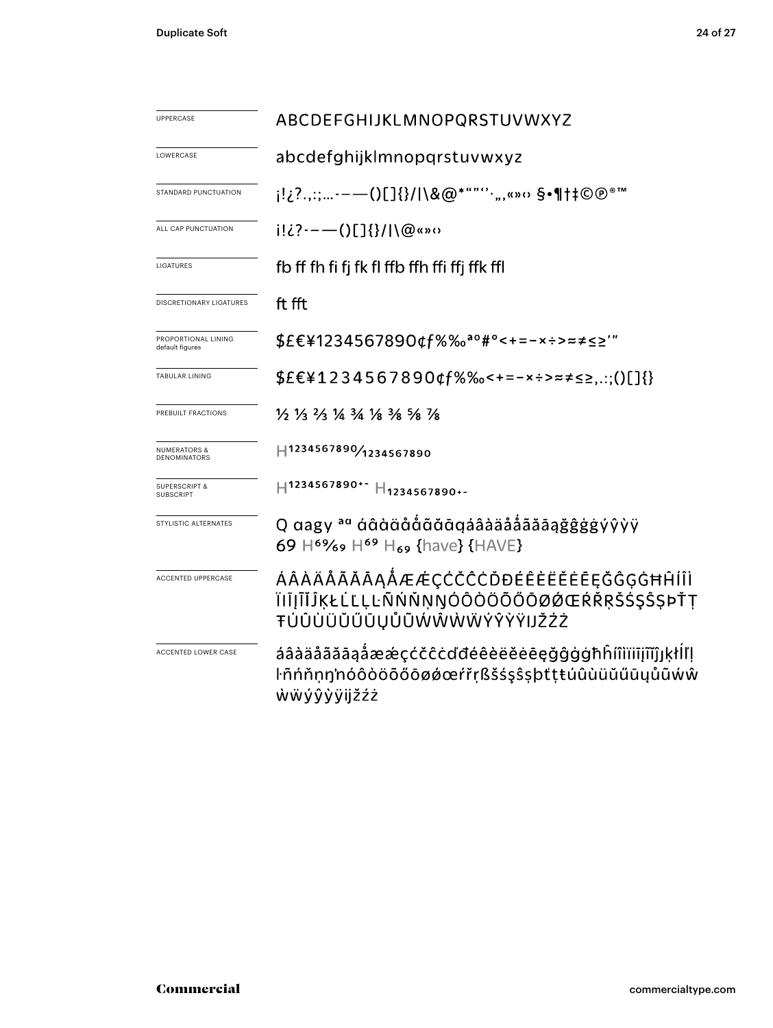| <b>UPPERCASE</b>                               | ABCDEFGHIJKLMNOPQRSTUVWXYZ                                                                                                    |  |  |  |  |
|------------------------------------------------|-------------------------------------------------------------------------------------------------------------------------------|--|--|--|--|
| LOWERCASE                                      | abcdefghijklmnopgrstuvwxyz                                                                                                    |  |  |  |  |
| STANDARD PUNCTUATION                           | j!¿?.,:;-—()[]{}/ \&@*""''·",«»‹› §•¶†‡©@®™                                                                                   |  |  |  |  |
| ALL CAP PUNCTUATION                            | $i! \lambda i! \lambda i! \lambda \cdots$ ()[] $\{\}\!/ \langle\emptyset \rangle\langle\emptyset \rangle$                     |  |  |  |  |
| LIGATURES                                      | fb ff fh fi fj fk fl ffb ffh ffi ffj ffk ffl                                                                                  |  |  |  |  |
| DISCRETIONARY LIGATURES                        | ft fft                                                                                                                        |  |  |  |  |
| PROPORTIONAL LINING<br>default figures         | \$£€¥1234567890¢f%‰ <sup>ao</sup> #°<+=-×÷>≈≠≤≥'"                                                                             |  |  |  |  |
| <b>TABULAR LINING</b>                          | $$EE41234567890$ tf%%-+=-x÷>= $\neq$ ss:;()[]{}                                                                               |  |  |  |  |
| PREBUILT FRACTIONS                             | $\frac{1}{6}$ $\frac{1}{3}$ $\frac{2}{3}$ $\frac{1}{4}$ $\frac{3}{4}$ $\frac{1}{8}$ $\frac{3}{8}$ $\frac{5}{8}$ $\frac{1}{8}$ |  |  |  |  |
| <b>NUMERATORS &amp;</b><br><b>DENOMINATORS</b> | H1234567890/1234567890                                                                                                        |  |  |  |  |
| <b>SUPERSCRIPT &amp;</b><br>SUBSCRIPT          | H1234567890+- H <sub>1234567890+-</sub>                                                                                       |  |  |  |  |
| STYLISTIC ALTERNATES                           | Q aagy <sup>aa</sup> áâàäååãāaäååãããããaġĝĝġġýŷỳÿ<br>69 H <sup>69</sup> /69 H <sup>69</sup> H <sub>69</sub> {have} {HAVE}      |  |  |  |  |
| ACCENTED UPPERCASE                             | ÁÂÀÄÅÃĂĀĄÅÆÆÇĆČĈĊĎĐÉÊÈËĔĒĘĞĜĢĠĦĤÍÎÌ<br>ÏIĪJĨĬĴĶŁĹĽĻĿÑŃŇŅŊÓÔÒÖÕŐŌØØŒŔŘŖŠŚŞŜŞÞŤŢ<br>ŦÚÛÙÜŬŰŪŲŮŨŴŴŴŴÝŶŸŸIJŽŹŻ                    |  |  |  |  |
| ACCENTED LOWER CASE                            | áâàäåãăāąåææçćčĉċďđéêèëĕēeęğĝġġħĥíîìïiījĩĭĵյķłlľļ<br>ŀñńňṇŋ'nóôòöõőōøǿœŕřṛßšśşŝşþtṭŧúûùüŭűūųůũẃŵ<br>ŵẅýŷỳÿijžźż               |  |  |  |  |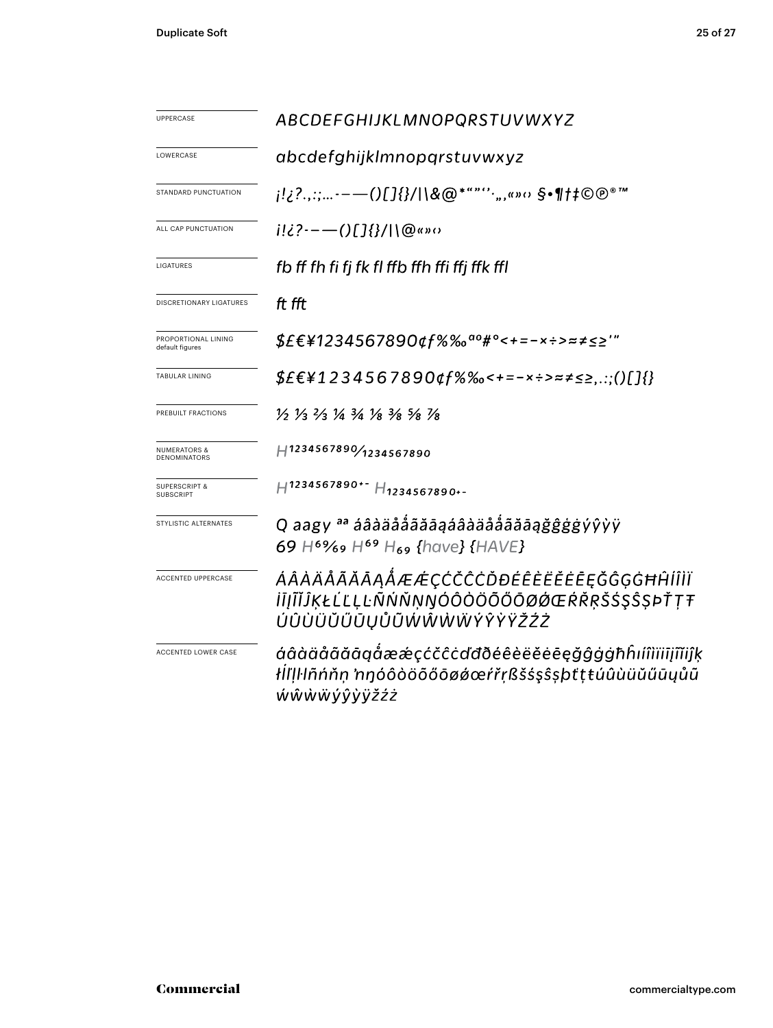| UPPERCASE                                    | ABCDEFGHIJKLMNOPQRSTUVWXYZ                                                                                                    |  |  |  |  |
|----------------------------------------------|-------------------------------------------------------------------------------------------------------------------------------|--|--|--|--|
| LOWERCASE                                    | abcdefghijklmnopgrstuvwxyz                                                                                                    |  |  |  |  |
| STANDARD PUNCTUATION                         | j!¿?.,:;-——()[]{}/ \&@*""''·",«»o §•¶†‡©®®™                                                                                   |  |  |  |  |
| ALL CAP PUNCTUATION                          | $i!i$ ?---()[]{}/ \@«»0                                                                                                       |  |  |  |  |
| LIGATURES                                    | fb ff fh fi fj fk fl ffb ffh ffi ffj ffk ffl                                                                                  |  |  |  |  |
| DISCRETIONARY LIGATURES                      | ft fft                                                                                                                        |  |  |  |  |
| PROPORTIONAL LINING<br>default figures       | \$£€¥1234567890¢f%‰ <sup>ao</sup> #°<+=-×÷>≈≠≤≥′″                                                                             |  |  |  |  |
| <b>TABULAR LINING</b>                        | \$£€¥1234567890¢f%‰<+=-×÷>≈≠≤≥,.:;()[]{}                                                                                      |  |  |  |  |
| PREBUILT FRACTIONS                           | $\frac{1}{5}$ $\frac{1}{3}$ $\frac{2}{3}$ $\frac{1}{4}$ $\frac{3}{4}$ $\frac{1}{8}$ $\frac{3}{8}$ $\frac{5}{8}$ $\frac{1}{8}$ |  |  |  |  |
| <b>NUMERATORS &amp;</b><br>DENOMINATORS      | H1234567890/1234567890                                                                                                        |  |  |  |  |
| <b>SUPERSCRIPT &amp;</b><br><b>SUBSCRIPT</b> | H1234567890+- H1234567890+-                                                                                                   |  |  |  |  |
| STYLISTIC ALTERNATES                         | Q aagy <sup>aa</sup> áâàäåååãāąáâàäåååãāaġĝĝġġýŷỳÿ<br>69 H <sup>69</sup> /69 H <sup>69</sup> H <sub>69</sub> {have} {HAVE}    |  |  |  |  |
| <b>ACCENTED UPPERCASE</b>                    | ÁÂÀÄÅÃĂĀĄÅÆÆÇĆČĈĊĎĐÉÊÈËĔĒĘĞĜĢĠĦĤĺÎÌÏ<br><i>ĬĪĮĨĬĴĶŁĹĽĻĿÑŃŇŅŊÓÔÒÖÕŐŌØØŒŔŘŖŠŚŞŜŞÞŤŢŦ</i><br>ÚÛÙÜŬŰŪŲŮŨŴŴŴŴŶŶŸŽŹŻ                |  |  |  |  |
| ACCENTED LOWER CASE                          | áâàäåãăāgåææçćčĉċďđðéêèëĕēeğĝģġħĥıíîìïiījĩĭiĵķ<br>łİl'Įŀlñńňṇ 'nŋóôòöõőōøǿœŕřṛßšśşŝşþťṭŧúûùüŭűūųůũ<br>ŴŴŴŴÝŶŸŸŽŹŻ             |  |  |  |  |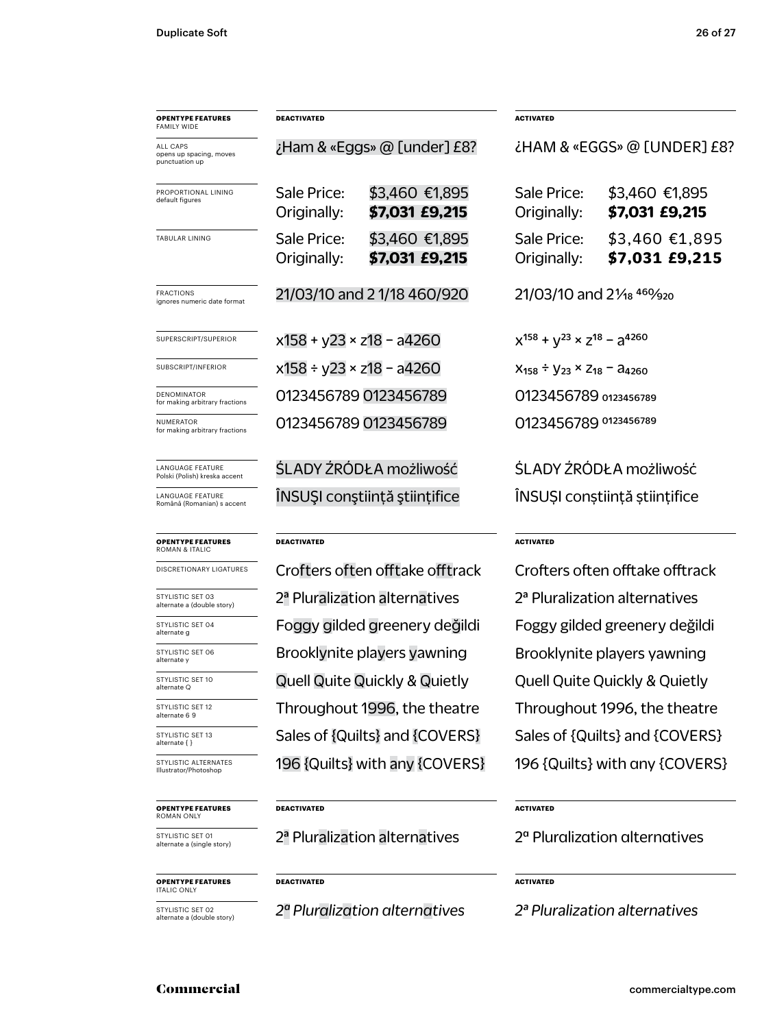| <b>OPENTYPE FEATURES</b><br>FAMILY WIDE               | DEACTIVATED                     |                                                                            | <b>ACTIVATED</b>                                   |                                  |  |
|-------------------------------------------------------|---------------------------------|----------------------------------------------------------------------------|----------------------------------------------------|----------------------------------|--|
| ALL CAPS<br>opens up spacing, moves<br>punctuation up |                                 | ¿Ham & «Eggs» @ [under] £8?                                                | ¿HAM & «EGGS» @ [UNDER] £8?                        |                                  |  |
| PROPORTIONAL LINING<br>default figures                | Sale Price:<br>Originally:      | \$3,460 €1,895<br>\$7,031 £9,215                                           | Sale Price:<br>Originally:                         | \$3,460 €1,895<br>\$7,031 £9,215 |  |
| TABULAR LINING                                        | Sale Price:<br>Originally:      | \$3,460 €1,895<br>\$7,031 £9,215                                           | Sale Price:<br>Originally:                         | \$3,460 €1,895<br>\$7,031 £9,215 |  |
| <b>FRACTIONS</b><br>ignores numeric date format       | 21/03/10 and 2 1/18 460/920     |                                                                            | 21/03/10 and 21/ <sub>18</sub> 460/ <sub>920</sub> |                                  |  |
| SUPERSCRIPT/SUPERIOR                                  | $x158 + y23 \times z18 - a4260$ |                                                                            | $x^{158} + y^{23} \times z^{18} - a^{4260}$        |                                  |  |
| SUBSCRIPT/INFERIOR                                    | x158 ÷ y23 × z18 - a4260        |                                                                            | $X_{158} \div Y_{23} \times Z_{18} - A_{4260}$     |                                  |  |
| DENOMINATOR<br>for making arbitrary fractions         |                                 | 0123456789 0123456789                                                      | 0123456789 0123456789                              |                                  |  |
| NUMERATOR<br>for making arbitrary fractions           |                                 | 0123456789 0123456789                                                      | 0123456789 0123456789                              |                                  |  |
| LANGUAGE FEATURE<br>Polski (Polish) kreska accent     |                                 | ŚLADY ŹRÓDŁA możliwość                                                     | ŚLADY ŻRÓDŁA możliwość                             |                                  |  |
| LANGUAGE FEATURE<br>Română (Romanian) s accent        |                                 | ÎNSUŞI conştiință științifice                                              | INSUȘI conștiință științifice                      |                                  |  |
| <b>OPENTYPE FEATURES</b><br><b>ROMAN &amp; ITALIC</b> | DEACTIVATED                     |                                                                            | <b>ACTIVATED</b>                                   |                                  |  |
| DISCRETIONARY LIGATURES                               |                                 | Crofters often offtake offtrack                                            | Crofters often offtake offtrack                    |                                  |  |
| STYLISTIC SET 03<br>alternate a (double story)        |                                 | 2 <sup>ª</sup> Pluralization alternatives                                  | 2 <sup>ª</sup> Pluralization alternatives          |                                  |  |
| STYLISTIC SET 04<br>alternate g                       |                                 | Foggy gilded greenery değildi                                              | Foggy gilded greenery değildi                      |                                  |  |
| STYLISTIC SET 06<br>alternate y                       |                                 | Brooklynite players yawning                                                | Brooklynite players yawning                        |                                  |  |
| STYLISTIC SET 10<br>alternate Q                       |                                 | <b>Quell Quite Quickly &amp; Quietly</b>                                   | <b>Quell Quite Quickly &amp; Quietly</b>           |                                  |  |
| STYLISTIC SET 12<br>alternate 6 9                     |                                 | Throughout 1996, the theatre                                               | Throughout 1996, the theatre                       |                                  |  |
| STYLISTIC SET 13<br>alternate { }                     |                                 | Sales of {Quilts} and {COVERS}                                             | Sales of {Quilts} and {COVERS}                     |                                  |  |
| STYLISTIC ALTERNATES<br>Illustrator/Photoshop         |                                 | 196 {Quilts} with any {COVERS}                                             | 196 {Quilts} with any {COVERS}                     |                                  |  |
| <b>OPENTYPE FEATURES</b><br>ROMAN ONLY                | DEACTIVATED                     |                                                                            |                                                    | <b>ACTIVATED</b>                 |  |
| STYLISTIC SET 01<br>alternate a (single story)        |                                 | 2 <sup>ª</sup> Pluralization alternatives                                  | 2 <sup>a</sup> Pluralization alternatives          |                                  |  |
| <b>OPENTYPE FEATURES</b><br><b>ITALIC ONLY</b>        | DEACTIVATED                     | <b>ACTIVATED</b>                                                           |                                                    |                                  |  |
| STYLISTIC SET 02<br>alternate a (double story)        |                                 | 2ª Pluralization alternatives<br>2 <sup>ª</sup> Pluralization alternatives |                                                    |                                  |  |

### Commercial commercialtype.com